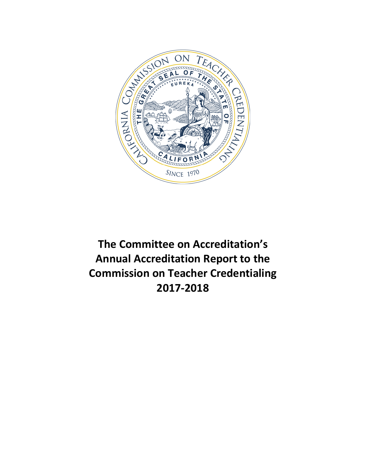

**The Committee on Accreditation's Annual Accreditation Report to the Commission on Teacher Credentialing 2017-2018**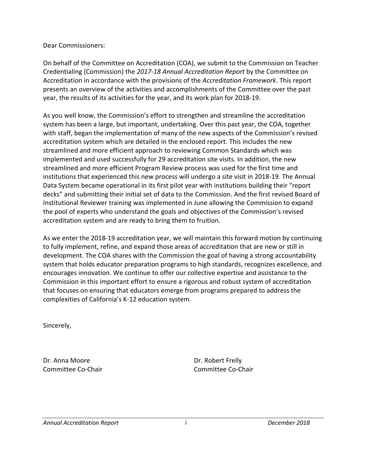Dear Commissioners:

On behalf of the Committee on Accreditation (COA), we submit to the Commission on Teacher Credentialing (Commission) the *2017-18 Annual Accreditation Report* by the Committee on Accreditation in accordance with the provisions of the *Accreditation Framework*. This report presents an overview of the activities and accomplishments of the Committee over the past year, the results of its activities for the year, and its work plan for 2018-19.

As you well know, the Commission's effort to strengthen and streamline the accreditation system has been a large, but important, undertaking. Over this past year, the COA, together with staff, began the implementation of many of the new aspects of the Commission's revised accreditation system which are detailed in the enclosed report. This includes the new streamlined and more efficient approach to reviewing Common Standards which was implemented and used successfully for 29 accreditation site visits. In addition, the new streamlined and more efficient Program Review process was used for the first time and institutions that experienced this new process will undergo a site visit in 2018-19. The Annual Data System became operational in its first pilot year with institutions building their "report decks" and submitting their initial set of data to the Commission. And the first revised Board of Institutional Reviewer training was implemented in June allowing the Commission to expand the pool of experts who understand the goals and objectives of the Commission's revised accreditation system and are ready to bring them to fruition.

As we enter the 2018-19 accreditation year, we will maintain this forward motion by continuing to fully implement, refine, and expand those areas of accreditation that are new or still in development. The COA shares with the Commission the goal of having a strong accountability system that holds educator preparation programs to high standards, recognizes excellence, and encourages innovation. We continue to offer our collective expertise and assistance to the Commission in this important effort to ensure a rigorous and robust system of accreditation that focuses on ensuring that educators emerge from programs prepared to address the complexities of California's K-12 education system.

Sincerely,

Dr. Anna Moore Dr. Robert Frelly

Committee Co-Chair Committee Co-Chair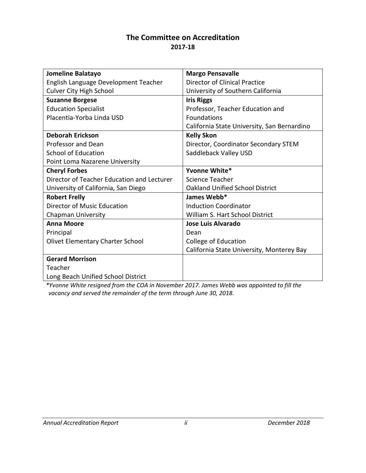## **The Committee on Accreditation 2017-18**

| Jomeline Balatayo                          | <b>Margo Pensavalle</b>                     |
|--------------------------------------------|---------------------------------------------|
| English Language Development Teacher       | Director of Clinical Practice               |
| <b>Culver City High School</b>             | University of Southern California           |
| <b>Suzanne Borgese</b>                     | <b>Iris Riggs</b>                           |
| <b>Education Specialist</b>                | Professor, Teacher Education and            |
| Placentia-Yorba Linda USD                  | <b>Foundations</b>                          |
|                                            | California State University, San Bernardino |
| <b>Deborah Erickson</b>                    | <b>Kelly Skon</b>                           |
| <b>Professor and Dean</b>                  | Director, Coordinator Secondary STEM        |
| <b>School of Education</b>                 | Saddleback Valley USD                       |
| Point Loma Nazarene University             |                                             |
| <b>Cheryl Forbes</b>                       | Yvonne White*                               |
| Director of Teacher Education and Lecturer | Science Teacher                             |
| University of California, San Diego        | <b>Oakland Unified School District</b>      |
| <b>Robert Frelly</b>                       | James Webb*                                 |
| Director of Music Education                | <b>Induction Coordinator</b>                |
| <b>Chapman University</b>                  | William S. Hart School District             |
| <b>Anna Moore</b>                          | Jose Luis Alvarado                          |
| Principal                                  | Dean                                        |
| <b>Olivet Elementary Charter School</b>    | College of Education                        |
|                                            | California State University, Monterey Bay   |
| <b>Gerard Morrison</b>                     |                                             |
| Teacher                                    |                                             |
| Long Beach Unified School District         |                                             |

*\*Yvonne White resigned from the COA in November 2017. James Webb was appointed to fill the vacancy and served the remainder of the term through June 30, 2018.*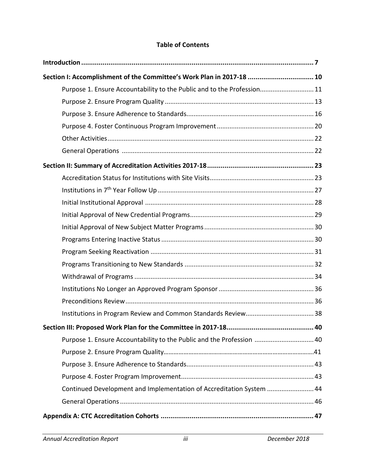# **Table of Contents**

| Section I: Accomplishment of the Committee's Work Plan in 2017-18  10   |  |
|-------------------------------------------------------------------------|--|
| Purpose 1. Ensure Accountability to the Public and to the Profession 11 |  |
|                                                                         |  |
|                                                                         |  |
|                                                                         |  |
|                                                                         |  |
|                                                                         |  |
|                                                                         |  |
|                                                                         |  |
|                                                                         |  |
|                                                                         |  |
|                                                                         |  |
|                                                                         |  |
|                                                                         |  |
|                                                                         |  |
|                                                                         |  |
|                                                                         |  |
|                                                                         |  |
|                                                                         |  |
|                                                                         |  |
|                                                                         |  |
| Purpose 1. Ensure Accountability to the Public and the Profession  40   |  |
|                                                                         |  |
|                                                                         |  |
|                                                                         |  |
| Continued Development and Implementation of Accreditation System  44    |  |
|                                                                         |  |
|                                                                         |  |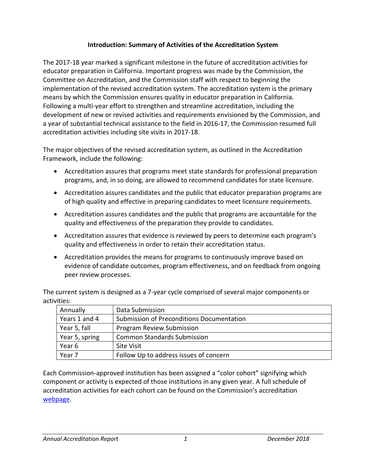## **Introduction: Summary of Activities of the Accreditation System**

The 2017-18 year marked a significant milestone in the future of accreditation activities for educator preparation in California. Important progress was made by the Commission, the Committee on Accreditation, and the Commission staff with respect to beginning the implementation of the revised accreditation system. The accreditation system is the primary means by which the Commission ensures quality in educator preparation in California. Following a multi-year effort to strengthen and streamline accreditation, including the development of new or revised activities and requirements envisioned by the Commission, and a year of substantial technical assistance to the field in 2016-17, the Commission resumed full accreditation activities including site visits in 2017-18.

The major objectives of the revised accreditation system, as outlined in the Accreditation Framework, include the following:

- Accreditation assures that programs meet state standards for professional preparation programs, and, in so doing, are allowed to recommend candidates for state licensure.
- Accreditation assures candidates and the public that educator preparation programs are of high quality and effective in preparing candidates to meet licensure requirements.
- Accreditation assures candidates and the public that programs are accountable for the quality and effectiveness of the preparation they provide to candidates.
- Accreditation assures that evidence is reviewed by peers to determine each program's quality and effectiveness in order to retain their accreditation status.
- Accreditation provides the means for programs to continuously improve based on evidence of candidate outcomes, program effectiveness, and on feedback from ongoing peer review processes.

The current system is designed as a 7-year cycle comprised of several major components or activities:

| Annually       | Data Submission                           |
|----------------|-------------------------------------------|
| Years 1 and 4  | Submission of Preconditions Documentation |
| Year 5, fall   | <b>Program Review Submission</b>          |
| Year 5, spring | <b>Common Standards Submission</b>        |
| Year 6         | <b>Site Visit</b>                         |
| Year 7         | Follow Up to address issues of concern    |

Each Commission-approved institution has been assigned a "color cohort" signifying which component or activity is expected of those institutions in any given year. A full schedule of accreditation activities for each cohort can be found on the Commission's accreditation [webpage.](https://www.ctc.ca.gov/educator-prep/program-accred-sch-act)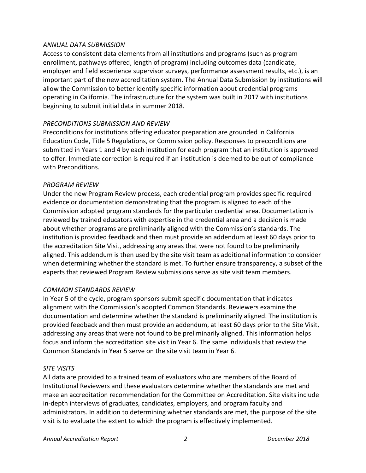### *ANNUAL DATA SUBMISSION*

Access to consistent data elements from all institutions and programs (such as program enrollment, pathways offered, length of program) including outcomes data (candidate, employer and field experience supervisor surveys, performance assessment results, etc.), is an important part of the new accreditation system. The Annual Data Submission by institutions will allow the Commission to better identify specific information about credential programs operating in California. The infrastructure for the system was built in 2017 with institutions beginning to submit initial data in summer 2018.

### *PRECONDITIONS SUBMISSION AND REVIEW*

Preconditions for institutions offering educator preparation are grounded in California Education Code, Title 5 Regulations, or Commission policy. Responses to preconditions are submitted in Years 1 and 4 by each institution for each program that an institution is approved to offer. Immediate correction is required if an institution is deemed to be out of compliance with Preconditions.

### *PROGRAM REVIEW*

Under the new Program Review process, each credential program provides specific required evidence or documentation demonstrating that the program is aligned to each of the Commission adopted program standards for the particular credential area. Documentation is reviewed by trained educators with expertise in the credential area and a decision is made about whether programs are preliminarily aligned with the Commission's standards. The institution is provided feedback and then must provide an addendum at least 60 days prior to the accreditation Site Visit, addressing any areas that were not found to be preliminarily aligned. This addendum is then used by the site visit team as additional information to consider when determining whether the standard is met. To further ensure transparency, a subset of the experts that reviewed Program Review submissions serve as site visit team members.

## *COMMON STANDARDS REVIEW*

In Year 5 of the cycle, program sponsors submit specific documentation that indicates alignment with the Commission's adopted Common Standards. Reviewers examine the documentation and determine whether the standard is preliminarily aligned. The institution is provided feedback and then must provide an addendum, at least 60 days prior to the Site Visit, addressing any areas that were not found to be preliminarily aligned. This information helps focus and inform the accreditation site visit in Year 6. The same individuals that review the Common Standards in Year 5 serve on the site visit team in Year 6.

## *SITE VISITS*

All data are provided to a trained team of evaluators who are members of the Board of Institutional Reviewers and these evaluators determine whether the standards are met and make an accreditation recommendation for the Committee on Accreditation. Site visits include in-depth interviews of graduates, candidates, employers, and program faculty and administrators. In addition to determining whether standards are met, the purpose of the site visit is to evaluate the extent to which the program is effectively implemented.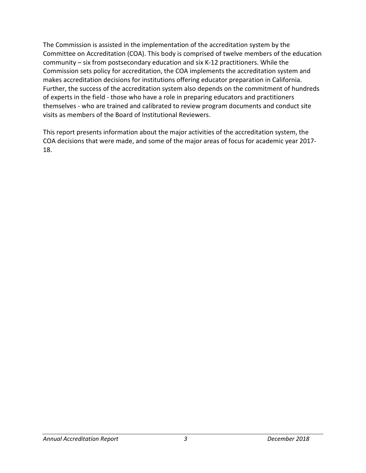The Commission is assisted in the implementation of the accreditation system by the Committee on Accreditation (COA). This body is comprised of twelve members of the education community – six from postsecondary education and six K-12 practitioners. While the Commission sets policy for accreditation, the COA implements the accreditation system and makes accreditation decisions for institutions offering educator preparation in California. Further, the success of the accreditation system also depends on the commitment of hundreds of experts in the field - those who have a role in preparing educators and practitioners themselves - who are trained and calibrated to review program documents and conduct site visits as members of the Board of Institutional Reviewers.

This report presents information about the major activities of the accreditation system, the COA decisions that were made, and some of the major areas of focus for academic year 2017- 18.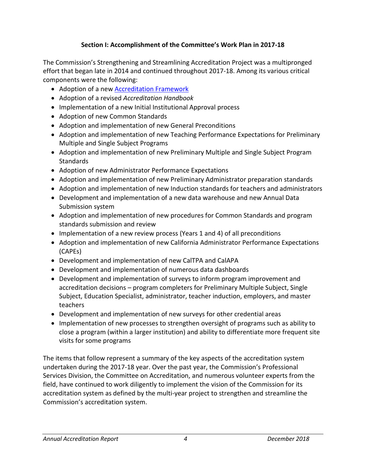# **Section I: Accomplishment of the Committee's Work Plan in 2017-18**

The Commission's Strengthening and Streamlining Accreditation Project was a multipronged effort that began late in 2014 and continued throughout 2017-18. Among its various critical components were the following:

- Adoption of a ne[w Accreditation Framework](https://www.ctc.ca.gov/docs/default-source/educator-prep/accred-files/accred-framework-2016-02.pdf)
- Adoption of a revised *Accreditation Handbook*
- Implementation of a new Initial Institutional Approval process
- Adoption of new Common Standards
- Adoption and implementation of new General Preconditions
- Adoption and implementation of new Teaching Performance Expectations for Preliminary Multiple and Single Subject Programs
- Adoption and implementation of new Preliminary Multiple and Single Subject Program **Standards**
- Adoption of new Administrator Performance Expectations
- Adoption and implementation of new Preliminary Administrator preparation standards
- Adoption and implementation of new Induction standards for teachers and administrators
- Development and implementation of a new data warehouse and new Annual Data Submission system
- Adoption and implementation of new procedures for Common Standards and program standards submission and review
- Implementation of a new review process (Years 1 and 4) of all preconditions
- Adoption and implementation of new California Administrator Performance Expectations (CAPEs)
- Development and implementation of new CalTPA and CalAPA
- Development and implementation of numerous data dashboards
- Development and implementation of surveys to inform program improvement and accreditation decisions – program completers for Preliminary Multiple Subject, Single Subject, Education Specialist, administrator, teacher induction, employers, and master teachers
- Development and implementation of new surveys for other credential areas
- Implementation of new processes to strengthen oversight of programs such as ability to close a program (within a larger institution) and ability to differentiate more frequent site visits for some programs

The items that follow represent a summary of the key aspects of the accreditation system undertaken during the 2017-18 year. Over the past year, the Commission's Professional Services Division, the Committee on Accreditation, and numerous volunteer experts from the field, have continued to work diligently to implement the vision of the Commission for its accreditation system as defined by the multi-year project to strengthen and streamline the Commission's accreditation system.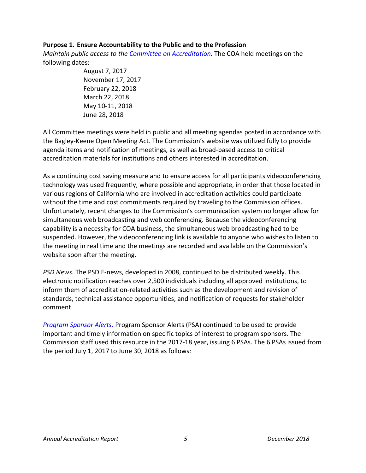### **Purpose 1. Ensure Accountability to the Public and to the Profession**

*Maintain public access to the [Committee on](https://www.ctc.ca.gov/educator-prep/coa) Accreditation.* The COA held meetings on the following dates:

> August 7, 2017 November 17, 2017 February 22, 2018 March 22, 2018 May 10-11, 2018 June 28, 2018

All Committee meetings were held in public and all meeting agendas posted in accordance with the Bagley-Keene Open Meeting Act. The Commission's website was utilized fully to provide agenda items and notification of meetings, as well as broad-based access to critical accreditation materials for institutions and others interested in accreditation.

As a continuing cost saving measure and to ensure access for all participants videoconferencing technology was used frequently, where possible and appropriate, in order that those located in various regions of California who are involved in accreditation activities could participate without the time and cost commitments required by traveling to the Commission offices. Unfortunately, recent changes to the Commission's communication system no longer allow for simultaneous web broadcasting and web conferencing. Because the videoconferencing capability is a necessity for COA business, the simultaneous web broadcasting had to be suspended. However, the videoconferencing link is available to anyone who wishes to listen to the meeting in real time and the meetings are recorded and available on the Commission's website soon after the meeting.

*PSD News*. The PSD E-news, developed in 2008, continued to be distributed weekly. This electronic notification reaches over 2,500 individuals including all approved institutions, to inform them of accreditation-related activities such as the development and revision of standards, technical assistance opportunities, and notification of requests for stakeholder comment.

*[Program Sponsor Alerts](https://www.ctc.ca.gov/educator-prep/ps-alerts)*. Program Sponsor Alerts (PSA) continued to be used to provide important and timely information on specific topics of interest to program sponsors. The Commission staff used this resource in the 2017-18 year, issuing 6 PSAs. The 6 PSAs issued from the period July 1, 2017 to June 30, 2018 as follows: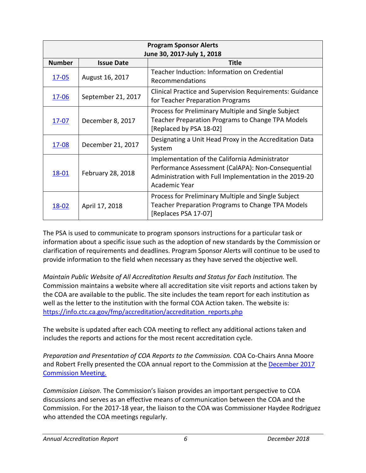| <b>Program Sponsor Alerts</b><br>June 30, 2017-July 1, 2018 |                    |                                                                                                                                                                                 |
|-------------------------------------------------------------|--------------------|---------------------------------------------------------------------------------------------------------------------------------------------------------------------------------|
| <b>Number</b>                                               | <b>Issue Date</b>  | Title                                                                                                                                                                           |
| $17 - 05$                                                   | August 16, 2017    | Teacher Induction: Information on Credential<br>Recommendations                                                                                                                 |
| <u>17-06</u>                                                | September 21, 2017 | <b>Clinical Practice and Supervision Requirements: Guidance</b><br>for Teacher Preparation Programs                                                                             |
| 17-07                                                       | December 8, 2017   | Process for Preliminary Multiple and Single Subject<br>Teacher Preparation Programs to Change TPA Models<br>[Replaced by PSA 18-02]                                             |
| <u>17-08</u>                                                | December 21, 2017  | Designating a Unit Head Proxy in the Accreditation Data<br>System                                                                                                               |
| <u>18-01</u>                                                | February 28, 2018  | Implementation of the California Administrator<br>Performance Assessment (CalAPA): Non-Consequential<br>Administration with Full Implementation in the 2019-20<br>Academic Year |
| 18-02                                                       | April 17, 2018     | Process for Preliminary Multiple and Single Subject<br>Teacher Preparation Programs to Change TPA Models<br>[Replaces PSA 17-07]                                                |

The PSA is used to communicate to program sponsors instructions for a particular task or information about a specific issue such as the adoption of new standards by the Commission or clarification of requirements and deadlines. Program Sponsor Alerts will continue to be used to provide information to the field when necessary as they have served the objective well.

*Maintain Public Website of All Accreditation Results and Status for Each Institution.* The Commission maintains a website where all accreditation site visit reports and actions taken by the COA are available to the public. The site includes the team report for each institution as well as the letter to the institution with the formal COA Action taken. The website is: [https://info.ctc.ca.gov/fmp/accreditation/accreditation\\_reports.php](https://info.ctc.ca.gov/fmp/accreditation/accreditation_reports.php)

The website is updated after each COA meeting to reflect any additional actions taken and includes the reports and actions for the most recent accreditation cycle.

*Preparation and Presentation of COA Reports to the Commission.* COA Co-Chairs Anna Moore and Robert Frelly presented the COA annual report to the Commission at the [December 2017](https://www.ctc.ca.gov/docs/default-source/commission/agendas/2017-12/2017-12-3f.pdf?sfvrsn=914e57b1_2) [Commission Meeting.](https://www.ctc.ca.gov/docs/default-source/commission/agendas/2017-12/2017-12-3f.pdf?sfvrsn=914e57b1_2) 

*Commission Liaison*. The Commission's liaison provides an important perspective to COA discussions and serves as an effective means of communication between the COA and the Commission. For the 2017-18 year, the liaison to the COA was Commissioner Haydee Rodriguez who attended the COA meetings regularly.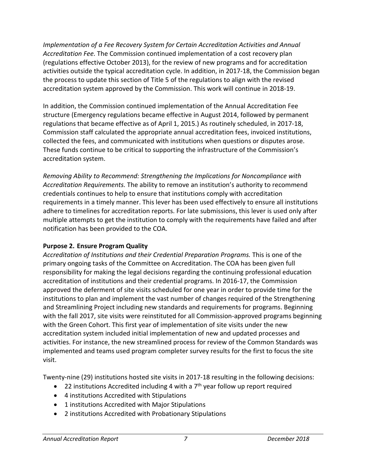*Implementation of a Fee Recovery System for Certain Accreditation Activities and Annual Accreditation Fee.* The Commission continued implementation of a cost recovery plan (regulations effective October 2013), for the review of new programs and for accreditation activities outside the typical accreditation cycle. In addition, in 2017-18, the Commission began the process to update this section of Title 5 of the regulations to align with the revised accreditation system approved by the Commission. This work will continue in 2018-19.

In addition, the Commission continued implementation of the Annual Accreditation Fee structure (Emergency regulations became effective in August 2014, followed by permanent regulations that became effective as of April 1, 2015.) As routinely scheduled, in 2017-18, Commission staff calculated the appropriate annual accreditation fees, invoiced institutions, collected the fees, and communicated with institutions when questions or disputes arose. These funds continue to be critical to supporting the infrastructure of the Commission's accreditation system.

*Removing Ability to Recommend: Strengthening the Implications for Noncompliance with Accreditation Requirements.* The ability to remove an institution's authority to recommend credentials continues to help to ensure that institutions comply with accreditation requirements in a timely manner. This lever has been used effectively to ensure all institutions adhere to timelines for accreditation reports. For late submissions, this lever is used only after multiple attempts to get the institution to comply with the requirements have failed and after notification has been provided to the COA.

## **Purpose 2. Ensure Program Quality**

*Accreditation of Institutions and their Credential Preparation Programs.* This is one of the primary ongoing tasks of the Committee on Accreditation. The COA has been given full responsibility for making the legal decisions regarding the continuing professional education accreditation of institutions and their credential programs. In 2016-17, the Commission approved the deferment of site visits scheduled for one year in order to provide time for the institutions to plan and implement the vast number of changes required of the Strengthening and Streamlining Project including new standards and requirements for programs. Beginning with the fall 2017, site visits were reinstituted for all Commission-approved programs beginning with the Green Cohort. This first year of implementation of site visits under the new accreditation system included initial implementation of new and updated processes and activities. For instance, the new streamlined process for review of the Common Standards was implemented and teams used program completer survey results for the first to focus the site visit.

Twenty-nine (29) institutions hosted site visits in 2017-18 resulting in the following decisions:

- 22 institutions Accredited including 4 with a  $7<sup>th</sup>$  year follow up report required
- 4 institutions Accredited with Stipulations
- 1 institutions Accredited with Major Stipulations
- 2 institutions Accredited with Probationary Stipulations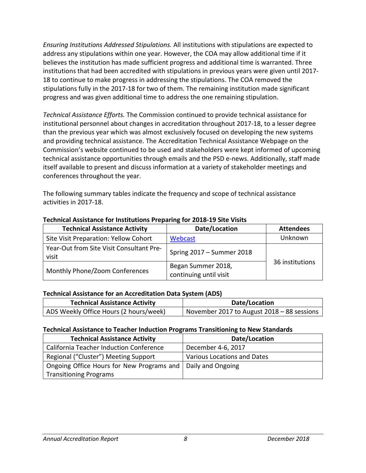*Ensuring Institutions Addressed Stipulations.* All institutions with stipulations are expected to address any stipulations within one year. However, the COA may allow additional time if it believes the institution has made sufficient progress and additional time is warranted. Three institutions that had been accredited with stipulations in previous years were given until 2017- 18 to continue to make progress in addressing the stipulations. The COA removed the stipulations fully in the 2017-18 for two of them. The remaining institution made significant progress and was given additional time to address the one remaining stipulation.

*Technical Assistance Efforts.* The Commission continued to provide technical assistance for institutional personnel about changes in accreditation throughout 2017-18, to a lesser degree than the previous year which was almost exclusively focused on developing the new systems and providing technical assistance. The Accreditation Technical Assistance Webpage on the Commission's website continued to be used and stakeholders were kept informed of upcoming technical assistance opportunities through emails and the PSD e-news. Additionally, staff made itself available to present and discuss information at a variety of stakeholder meetings and conferences throughout the year.

The following summary tables indicate the frequency and scope of technical assistance activities in 2017-18.

| <b>Technical Assistance Activity</b>              | Date/Location                                | <b>Attendees</b> |
|---------------------------------------------------|----------------------------------------------|------------------|
| Site Visit Preparation: Yellow Cohort             | Webcast                                      | Unknown          |
| Year-Out from Site Visit Consultant Pre-<br>visit | Spring 2017 - Summer 2018                    |                  |
| Monthly Phone/Zoom Conferences                    | Began Summer 2018,<br>continuing until visit | 36 institutions  |

#### **Technical Assistance for Institutions Preparing for 2018-19 Site Visits**

#### **Technical Assistance for an Accreditation Data System (ADS)**

| <b>Technical Assistance Activity</b>   | Date/Location                              |
|----------------------------------------|--------------------------------------------|
| ADS Weekly Office Hours (2 hours/week) | November 2017 to August 2018 - 88 sessions |

#### **Technical Assistance to Teacher Induction Programs Transitioning to New Standards**

| <b>Technical Assistance Activity</b>                          | Date/Location               |
|---------------------------------------------------------------|-----------------------------|
| <b>California Teacher Induction Conference</b>                | December 4-6, 2017          |
| Regional ("Cluster") Meeting Support                          | Various Locations and Dates |
| Ongoing Office Hours for New Programs and   Daily and Ongoing |                             |
| <b>Transitioning Programs</b>                                 |                             |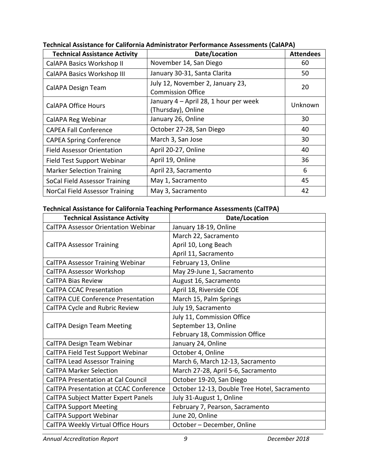| <b>Technical Assistance Activity</b> | Date/Location                                                | <b>Attendees</b> |
|--------------------------------------|--------------------------------------------------------------|------------------|
| CalAPA Basics Workshop II            | November 14, San Diego                                       | 60               |
| <b>CalAPA Basics Workshop III</b>    | January 30-31, Santa Clarita                                 | 50               |
| CalAPA Design Team                   | July 12, November 2, January 23,<br><b>Commission Office</b> | 20               |
| CalAPA Office Hours                  | January 4 - April 28, 1 hour per week<br>(Thursday), Online  | Unknown          |
| CalAPA Reg Webinar                   | January 26, Online                                           | 30               |
| <b>CAPEA Fall Conference</b>         | October 27-28, San Diego                                     | 40               |
| <b>CAPEA Spring Conference</b>       | March 3, San Jose                                            | 30               |
| <b>Field Assessor Orientation</b>    | April 20-27, Online                                          | 40               |
| <b>Field Test Support Webinar</b>    | April 19, Online                                             | 36               |
| <b>Marker Selection Training</b>     | April 23, Sacramento                                         | 6                |
| SoCal Field Assessor Training        | May 1, Sacramento                                            | 45               |
| NorCal Field Assessor Training       | May 3, Sacramento                                            | 42               |

**Technical Assistance for California Administrator Performance Assessments (CalAPA)**

## **Technical Assistance for California Teaching Performance Assessments (CalTPA)**

| <b>Technical Assistance Activity</b>          | Date/Location                                |
|-----------------------------------------------|----------------------------------------------|
| <b>CalTPA Assessor Orientation Webinar</b>    | January 18-19, Online                        |
|                                               | March 22, Sacramento                         |
| <b>CalTPA Assessor Training</b>               | April 10, Long Beach                         |
|                                               | April 11, Sacramento                         |
| CalTPA Assessor Training Webinar              | February 13, Online                          |
| <b>CalTPA Assessor Workshop</b>               | May 29-June 1, Sacramento                    |
| <b>CalTPA Bias Review</b>                     | August 16, Sacramento                        |
| <b>CalTPA CCAC Presentation</b>               | April 18, Riverside COE                      |
| <b>CalTPA CUE Conference Presentation</b>     | March 15, Palm Springs                       |
| CalTPA Cycle and Rubric Review                | July 19, Sacramento                          |
|                                               | July 11, Commission Office                   |
| <b>CalTPA Design Team Meeting</b>             | September 13, Online                         |
|                                               | February 18, Commission Office               |
| CalTPA Design Team Webinar                    | January 24, Online                           |
| CalTPA Field Test Support Webinar             | October 4, Online                            |
| <b>CalTPA Lead Assessor Training</b>          | March 6, March 12-13, Sacramento             |
| <b>CalTPA Marker Selection</b>                | March 27-28, April 5-6, Sacramento           |
| <b>CalTPA Presentation at Cal Council</b>     | October 19-20, San Diego                     |
| <b>CalTPA Presentation at CCAC Conference</b> | October 12-13, Double Tree Hotel, Sacramento |
| <b>CalTPA Subject Matter Expert Panels</b>    | July 31-August 1, Online                     |
| <b>CalTPA Support Meeting</b>                 | February 7, Pearson, Sacramento              |
| CalTPA Support Webinar                        | June 20, Online                              |
| CalTPA Weekly Virtual Office Hours            | October - December, Online                   |

*Annual Accreditation Report 9 December 2018*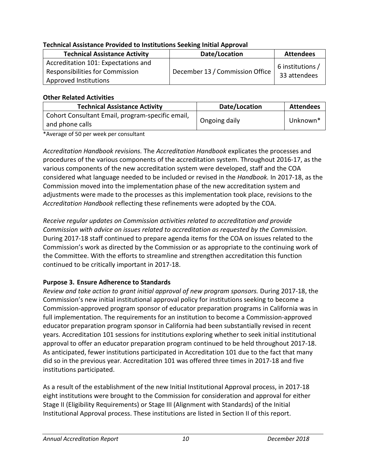| <u>. Cennisar Assistante i Totiaca to institutions scening initial Applotan</u>                        |                                 |                                  |
|--------------------------------------------------------------------------------------------------------|---------------------------------|----------------------------------|
| <b>Technical Assistance Activity</b>                                                                   | Date/Location                   | <b>Attendees</b>                 |
| Accreditation 101: Expectations and<br><b>Responsibilities for Commission</b><br>Approved Institutions | December 13 / Commission Office | 6 institutions /<br>33 attendees |

## **Technical Assistance Provided to Institutions Seeking Initial Approval**

#### **Other Related Activities**

| <b>Technical Assistance Activity</b>                                | Date/Location | <b>Attendees</b>     |
|---------------------------------------------------------------------|---------------|----------------------|
| Cohort Consultant Email, program-specific email,<br>and phone calls | Ongoing daily | Unknown <sup>*</sup> |

\*Average of 50 per week per consultant

*Accreditation Handbook revisions.* The *Accreditation Handbook* explicates the processes and procedures of the various components of the accreditation system. Throughout 2016-17, as the various components of the new accreditation system were developed, staff and the COA considered what language needed to be included or revised in the *Handbook.* In 2017-18, as the Commission moved into the implementation phase of the new accreditation system and adjustments were made to the processes as this implementation took place, revisions to the *Accreditation Handbook* reflecting these refinements were adopted by the COA.

*Receive regular updates on Commission activities related to accreditation and provide Commission with advice on issues related to accreditation as requested by the Commission.*  During 2017-18 staff continued to prepare agenda items for the COA on issues related to the Commission's work as directed by the Commission or as appropriate to the continuing work of the Committee. With the efforts to streamline and strengthen accreditation this function continued to be critically important in 2017-18.

# **Purpose 3. Ensure Adherence to Standards**

*Review and take action to grant initial approval of new program sponsors.* During 2017-18, the Commission's new initial institutional approval policy for institutions seeking to become a Commission-approved program sponsor of educator preparation programs in California was in full implementation. The requirements for an institution to become a Commission-approved educator preparation program sponsor in California had been substantially revised in recent years. Accreditation 101 sessions for institutions exploring whether to seek initial institutional approval to offer an educator preparation program continued to be held throughout 2017-18. As anticipated, fewer institutions participated in Accreditation 101 due to the fact that many did so in the previous year. Accreditation 101 was offered three times in 2017-18 and five institutions participated.

As a result of the establishment of the new Initial Institutional Approval process, in 2017-18 eight institutions were brought to the Commission for consideration and approval for either Stage II (Eligibility Requirements) or Stage III (Alignment with Standards) of the Initial Institutional Approval process. These institutions are listed in Section II of this report.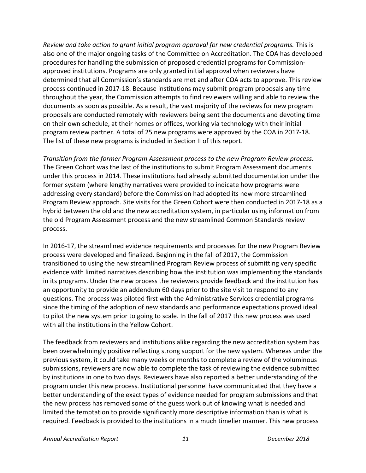*Review and take action to grant initial program approval for new credential programs.* This is also one of the major ongoing tasks of the Committee on Accreditation. The COA has developed procedures for handling the submission of proposed credential programs for Commissionapproved institutions. Programs are only granted initial approval when reviewers have determined that all Commission's standards are met and after COA acts to approve. This review process continued in 2017-18. Because institutions may submit program proposals any time throughout the year, the Commission attempts to find reviewers willing and able to review the documents as soon as possible. As a result, the vast majority of the reviews for new program proposals are conducted remotely with reviewers being sent the documents and devoting time on their own schedule, at their homes or offices, working via technology with their initial program review partner. A total of 25 new programs were approved by the COA in 2017-18. The list of these new programs is included in Section II of this report.

*Transition from the former Program Assessment process to the new Program Review process.* The Green Cohort was the last of the institutions to submit Program Assessment documents under this process in 2014. These institutions had already submitted documentation under the former system (where lengthy narratives were provided to indicate how programs were addressing every standard) before the Commission had adopted its new more streamlined Program Review approach. Site visits for the Green Cohort were then conducted in 2017-18 as a hybrid between the old and the new accreditation system, in particular using information from the old Program Assessment process and the new streamlined Common Standards review process.

In 2016-17, the streamlined evidence requirements and processes for the new Program Review process were developed and finalized. Beginning in the fall of 2017, the Commission transitioned to using the new streamlined Program Review process of submitting very specific evidence with limited narratives describing how the institution was implementing the standards in its programs. Under the new process the reviewers provide feedback and the institution has an opportunity to provide an addendum 60 days prior to the site visit to respond to any questions. The process was piloted first with the Administrative Services credential programs since the timing of the adoption of new standards and performance expectations proved ideal to pilot the new system prior to going to scale. In the fall of 2017 this new process was used with all the institutions in the Yellow Cohort.

The feedback from reviewers and institutions alike regarding the new accreditation system has been overwhelmingly positive reflecting strong support for the new system. Whereas under the previous system, it could take many weeks or months to complete a review of the voluminous submissions, reviewers are now able to complete the task of reviewing the evidence submitted by institutions in one to two days. Reviewers have also reported a better understanding of the program under this new process. Institutional personnel have communicated that they have a better understanding of the exact types of evidence needed for program submissions and that the new process has removed some of the guess work out of knowing what is needed and limited the temptation to provide significantly more descriptive information than is what is required. Feedback is provided to the institutions in a much timelier manner. This new process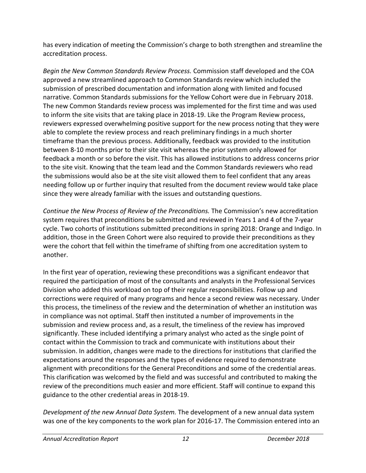has every indication of meeting the Commission's charge to both strengthen and streamline the accreditation process.

*Begin the New Common Standards Review Process.* Commission staff developed and the COA approved a new streamlined approach to Common Standards review which included the submission of prescribed documentation and information along with limited and focused narrative. Common Standards submissions for the Yellow Cohort were due in February 2018. The new Common Standards review process was implemented for the first time and was used to inform the site visits that are taking place in 2018-19. Like the Program Review process, reviewers expressed overwhelming positive support for the new process noting that they were able to complete the review process and reach preliminary findings in a much shorter timeframe than the previous process. Additionally, feedback was provided to the institution between 8-10 months prior to their site visit whereas the prior system only allowed for feedback a month or so before the visit. This has allowed institutions to address concerns prior to the site visit. Knowing that the team lead and the Common Standards reviewers who read the submissions would also be at the site visit allowed them to feel confident that any areas needing follow up or further inquiry that resulted from the document review would take place since they were already familiar with the issues and outstanding questions.

*Continue the New Process of Review of the Preconditions.* The Commission's new accreditation system requires that preconditions be submitted and reviewed in Years 1 and 4 of the 7-year cycle. Two cohorts of institutions submitted preconditions in spring 2018: Orange and Indigo. In addition, those in the Green Cohort were also required to provide their preconditions as they were the cohort that fell within the timeframe of shifting from one accreditation system to another.

In the first year of operation, reviewing these preconditions was a significant endeavor that required the participation of most of the consultants and analysts in the Professional Services Division who added this workload on top of their regular responsibilities. Follow up and corrections were required of many programs and hence a second review was necessary. Under this process, the timeliness of the review and the determination of whether an institution was in compliance was not optimal. Staff then instituted a number of improvements in the submission and review process and, as a result, the timeliness of the review has improved significantly. These included identifying a primary analyst who acted as the single point of contact within the Commission to track and communicate with institutions about their submission. In addition, changes were made to the directions for institutions that clarified the expectations around the responses and the types of evidence required to demonstrate alignment with preconditions for the General Preconditions and some of the credential areas. This clarification was welcomed by the field and was successful and contributed to making the review of the preconditions much easier and more efficient. Staff will continue to expand this guidance to the other credential areas in 2018-19.

*Development of the new Annual Data System.* The development of a new annual data system was one of the key components to the work plan for 2016-17. The Commission entered into an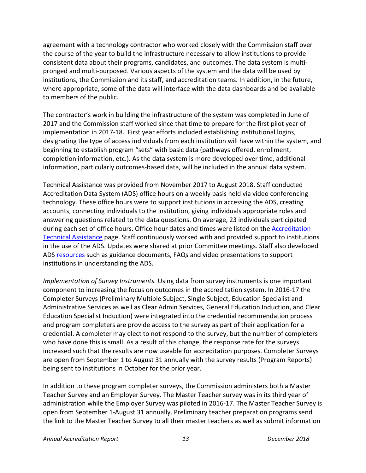agreement with a technology contractor who worked closely with the Commission staff over the course of the year to build the infrastructure necessary to allow institutions to provide consistent data about their programs, candidates, and outcomes. The data system is multipronged and multi-purposed. Various aspects of the system and the data will be used by institutions, the Commission and its staff, and accreditation teams. In addition, in the future, where appropriate, some of the data will interface with the data dashboards and be available to members of the public.

The contractor's work in building the infrastructure of the system was completed in June of 2017 and the Commission staff worked since that time to prepare for the first pilot year of implementation in 2017-18. First year efforts included establishing institutional logins, designating the type of access individuals from each institution will have within the system, and beginning to establish program "sets" with basic data (pathways offered, enrollment, completion information, etc.). As the data system is more developed over time, additional information, particularly outcomes-based data, will be included in the annual data system.

Technical Assistance was provided from November 2017 to August 2018. Staff conducted Accreditation Data System (ADS) office hours on a weekly basis held via video conferencing technology. These office hours were to support institutions in accessing the ADS, creating accounts, connecting individuals to the institution, giving individuals appropriate roles and answering questions related to the data questions. On average, 23 individuals participated during each set of office hours. Office hour dates and times were listed on th[e Accreditation](https://www.ctc.ca.gov/educator-prep/accred-assist)  [Technical Assistance](https://www.ctc.ca.gov/educator-prep/accred-assist) page. Staff continuously worked with and provided support to institutions in the use of the ADS. Updates were shared at prior Committee meetings. Staff also developed ADS [resources](https://www.ctc.ca.gov/educator-prep/program-accred/accreditation-data-system-ads) such as guidance documents, FAQs and video presentations to support institutions in understanding the ADS.

*Implementation of Survey Instruments.* Using data from survey instruments is one important component to increasing the focus on outcomes in the accreditation system. In 2016-17 the Completer Surveys (Preliminary Multiple Subject, Single Subject, Education Specialist and Administrative Services as well as Clear Admin Services, General Education Induction, and Clear Education Specialist Induction) were integrated into the credential recommendation process and program completers are provide access to the survey as part of their application for a credential. A completer may elect to not respond to the survey, but the number of completers who have done this is small. As a result of this change, the response rate for the surveys increased such that the results are now useable for accreditation purposes. Completer Surveys are open from September 1 to August 31 annually with the survey results (Program Reports) being sent to institutions in October for the prior year.

In addition to these program completer surveys, the Commission administers both a Master Teacher Survey and an Employer Survey. The Master Teacher survey was in its third year of administration while the Employer Survey was piloted in 2016-17. The Master Teacher Survey is open from September 1-August 31 annually. Preliminary teacher preparation programs send the link to the Master Teacher Survey to all their master teachers as well as submit information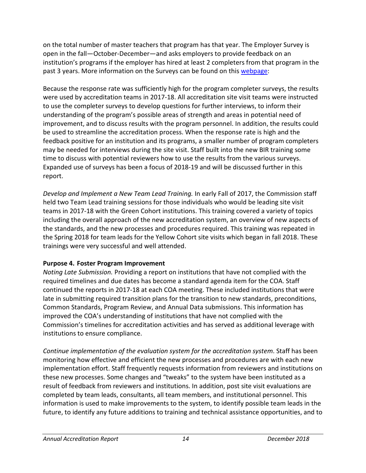on the total number of master teachers that program has that year. The Employer Survey is open in the fall—October-December—and asks employers to provide feedback on an institution's programs if the employer has hired at least 2 completers from that program in the past 3 years. More information on the Surveys can be found on this [webpage:](https://www.ctc.ca.gov/educator-prep/completer-surveys)

Because the response rate was sufficiently high for the program completer surveys, the results were used by accreditation teams in 2017-18. All accreditation site visit teams were instructed to use the completer surveys to develop questions for further interviews, to inform their understanding of the program's possible areas of strength and areas in potential need of improvement, and to discuss results with the program personnel. In addition, the results could be used to streamline the accreditation process. When the response rate is high and the feedback positive for an institution and its programs, a smaller number of program completers may be needed for interviews during the site visit. Staff built into the new BIR training some time to discuss with potential reviewers how to use the results from the various surveys. Expanded use of surveys has been a focus of 2018-19 and will be discussed further in this report.

*Develop and Implement a New Team Lead Training.* In early Fall of 2017, the Commission staff held two Team Lead training sessions for those individuals who would be leading site visit teams in 2017-18 with the Green Cohort institutions. This training covered a variety of topics including the overall approach of the new accreditation system, an overview of new aspects of the standards, and the new processes and procedures required. This training was repeated in the Spring 2018 for team leads for the Yellow Cohort site visits which began in fall 2018. These trainings were very successful and well attended.

## **Purpose 4. Foster Program Improvement**

*Noting Late Submission.* Providing a report on institutions that have not complied with the required timelines and due dates has become a standard agenda item for the COA. Staff continued the reports in 2017-18 at each COA meeting. These included institutions that were late in submitting required transition plans for the transition to new standards, preconditions, Common Standards, Program Review, and Annual Data submissions. This information has improved the COA's understanding of institutions that have not complied with the Commission's timelines for accreditation activities and has served as additional leverage with institutions to ensure compliance.

*Continue implementation of the evaluation system for the accreditation system*. Staff has been monitoring how effective and efficient the new processes and procedures are with each new implementation effort. Staff frequently requests information from reviewers and institutions on these new processes. Some changes and "tweaks" to the system have been instituted as a result of feedback from reviewers and institutions. In addition, post site visit evaluations are completed by team leads, consultants, all team members, and institutional personnel. This information is used to make improvements to the system, to identify possible team leads in the future, to identify any future additions to training and technical assistance opportunities, and to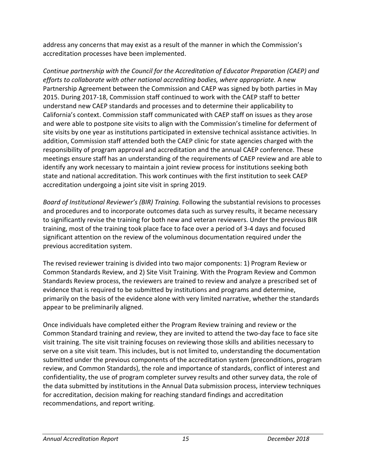address any concerns that may exist as a result of the manner in which the Commission's accreditation processes have been implemented.

*Continue partnership with the Council for the Accreditation of Educator Preparation (CAEP) and efforts to collaborate with other national accrediting bodies, where appropriate.* A new Partnership Agreement between the Commission and CAEP was signed by both parties in May 2015. During 2017-18, Commission staff continued to work with the CAEP staff to better understand new CAEP standards and processes and to determine their applicability to California's context. Commission staff communicated with CAEP staff on issues as they arose and were able to postpone site visits to align with the Commission's timeline for deferment of site visits by one year as institutions participated in extensive technical assistance activities. In addition, Commission staff attended both the CAEP clinic for state agencies charged with the responsibility of program approval and accreditation and the annual CAEP conference. These meetings ensure staff has an understanding of the requirements of CAEP review and are able to identify any work necessary to maintain a joint review process for institutions seeking both state and national accreditation. This work continues with the first institution to seek CAEP accreditation undergoing a joint site visit in spring 2019.

*Board of Institutional Reviewer's (BIR) Training.* Following the substantial revisions to processes and procedures and to incorporate outcomes data such as survey results, it became necessary to significantly revise the training for both new and veteran reviewers. Under the previous BIR training, most of the training took place face to face over a period of 3-4 days and focused significant attention on the review of the voluminous documentation required under the previous accreditation system.

The revised reviewer training is divided into two major components: 1) Program Review or Common Standards Review, and 2) Site Visit Training. With the Program Review and Common Standards Review process, the reviewers are trained to review and analyze a prescribed set of evidence that is required to be submitted by institutions and programs and determine, primarily on the basis of the evidence alone with very limited narrative, whether the standards appear to be preliminarily aligned.

Once individuals have completed either the Program Review training and review or the Common Standard training and review, they are invited to attend the two-day face to face site visit training. The site visit training focuses on reviewing those skills and abilities necessary to serve on a site visit team. This includes, but is not limited to, understanding the documentation submitted under the previous components of the accreditation system (preconditions, program review, and Common Standards), the role and importance of standards, conflict of interest and confidentiality, the use of program completer survey results and other survey data, the role of the data submitted by institutions in the Annual Data submission process, interview techniques for accreditation, decision making for reaching standard findings and accreditation recommendations, and report writing.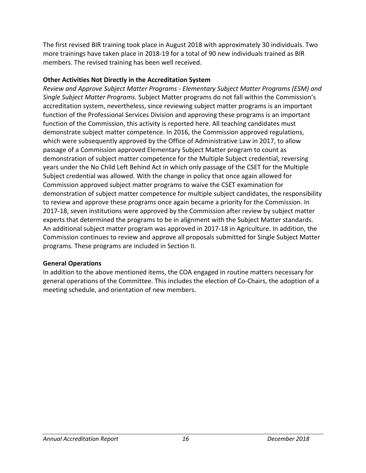The first revised BIR training took place in August 2018 with approximately 30 individuals. Two more trainings have taken place in 2018-19 for a total of 90 new individuals trained as BIR members. The revised training has been well received.

### **Other Activities Not Directly in the Accreditation System**

*Review and Approve Subject Matter Programs - Elementary Subject Matter Programs (ESM) and Single Subject Matter Programs.* Subject Matter programs do not fall within the Commission's accreditation system, nevertheless, since reviewing subject matter programs is an important function of the Professional Services Division and approving these programs is an important function of the Commission, this activity is reported here. All teaching candidates must demonstrate subject matter competence. In 2016, the Commission approved regulations, which were subsequently approved by the Office of Administrative Law in 2017, to allow passage of a Commission approved Elementary Subject Matter program to count as demonstration of subject matter competence for the Multiple Subject credential, reversing years under the No Child Left Behind Act in which only passage of the CSET for the Multiple Subject credential was allowed. With the change in policy that once again allowed for Commission approved subject matter programs to waive the CSET examination for demonstration of subject matter competence for multiple subject candidates, the responsibility to review and approve these programs once again became a priority for the Commission. In 2017-18, seven institutions were approved by the Commission after review by subject matter experts that determined the programs to be in alignment with the Subject Matter standards. An additional subject matter program was approved in 2017-18 in Agriculture. In addition, the Commission continues to review and approve all proposals submitted for Single Subject Matter programs. These programs are included in Section II.

#### **General Operations**

In addition to the above mentioned items, the COA engaged in routine matters necessary for general operations of the Committee. This includes the election of Co-Chairs, the adoption of a meeting schedule, and orientation of new members.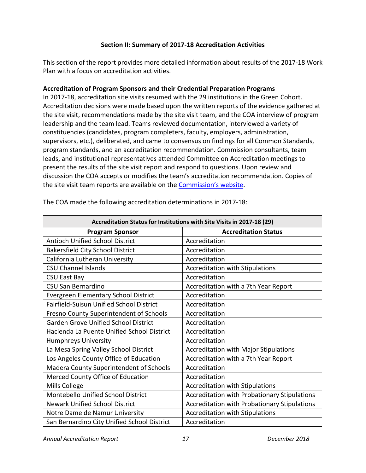## **Section II: Summary of 2017-18 Accreditation Activities**

This section of the report provides more detailed information about results of the 2017-18 Work Plan with a focus on accreditation activities.

#### **Accreditation of Program Sponsors and their Credential Preparation Programs**

In 2017-18, accreditation site visits resumed with the 29 institutions in the Green Cohort. Accreditation decisions were made based upon the written reports of the evidence gathered at the site visit, recommendations made by the site visit team, and the COA interview of program leadership and the team lead. Teams reviewed documentation, interviewed a variety of constituencies (candidates, program completers, faculty, employers, administration, supervisors, etc.), deliberated, and came to consensus on findings for all Common Standards, program standards, and an accreditation recommendation. Commission consultants, team leads, and institutional representatives attended Committee on Accreditation meetings to present the results of the site visit report and respond to questions. Upon review and discussion the COA accepts or modifies the team's accreditation recommendation. Copies of the site visit team reports are available on the [Commission's website.](https://info.ctc.ca.gov/fmp/accreditation/accreditation_reports.php)

| Accreditation Status for Institutions with Site Visits in 2017-18 (29) |                                              |  |
|------------------------------------------------------------------------|----------------------------------------------|--|
| <b>Program Sponsor</b>                                                 | <b>Accreditation Status</b>                  |  |
| Antioch Unified School District                                        | Accreditation                                |  |
| <b>Bakersfield City School District</b>                                | Accreditation                                |  |
| California Lutheran University                                         | Accreditation                                |  |
| <b>CSU Channel Islands</b>                                             | <b>Accreditation with Stipulations</b>       |  |
| <b>CSU East Bay</b>                                                    | Accreditation                                |  |
| CSU San Bernardino                                                     | Accreditation with a 7th Year Report         |  |
| <b>Evergreen Elementary School District</b>                            | Accreditation                                |  |
| Fairfield-Suisun Unified School District                               | Accreditation                                |  |
| Fresno County Superintendent of Schools                                | Accreditation                                |  |
| <b>Garden Grove Unified School District</b>                            | Accreditation                                |  |
| Hacienda La Puente Unified School District                             | Accreditation                                |  |
| <b>Humphreys University</b>                                            | Accreditation                                |  |
| La Mesa Spring Valley School District                                  | <b>Accreditation with Major Stipulations</b> |  |
| Los Angeles County Office of Education                                 | Accreditation with a 7th Year Report         |  |
| Madera County Superintendent of Schools                                | Accreditation                                |  |
| Merced County Office of Education                                      | Accreditation                                |  |
| Mills College                                                          | <b>Accreditation with Stipulations</b>       |  |
| Montebello Unified School District                                     | Accreditation with Probationary Stipulations |  |
| <b>Newark Unified School District</b>                                  | Accreditation with Probationary Stipulations |  |
| Notre Dame de Namur University                                         | <b>Accreditation with Stipulations</b>       |  |
| San Bernardino City Unified School District                            | Accreditation                                |  |

The COA made the following accreditation determinations in 2017-18: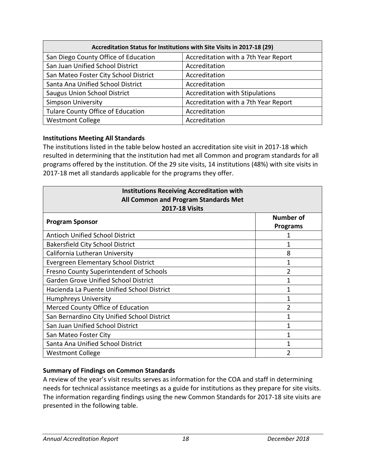| Accreditation Status for Institutions with Site Visits in 2017-18 (29) |                                        |  |
|------------------------------------------------------------------------|----------------------------------------|--|
| San Diego County Office of Education                                   | Accreditation with a 7th Year Report   |  |
| San Juan Unified School District                                       | Accreditation                          |  |
| San Mateo Foster City School District                                  | Accreditation                          |  |
| Santa Ana Unified School District                                      | Accreditation                          |  |
| <b>Saugus Union School District</b>                                    | <b>Accreditation with Stipulations</b> |  |
| <b>Simpson University</b>                                              | Accreditation with a 7th Year Report   |  |
| Tulare County Office of Education                                      | Accreditation                          |  |
| <b>Westmont College</b>                                                | Accreditation                          |  |

## **Institutions Meeting All Standards**

The institutions listed in the table below hosted an accreditation site visit in 2017-18 which resulted in determining that the institution had met all Common and program standards for all programs offered by the institution. Of the 29 site visits, 14 institutions (48%) with site visits in 2017-18 met all standards applicable for the programs they offer.

| <b>Institutions Receiving Accreditation with</b><br>All Common and Program Standards Met<br><b>2017-18 Visits</b> |                                     |  |
|-------------------------------------------------------------------------------------------------------------------|-------------------------------------|--|
| <b>Program Sponsor</b>                                                                                            | <b>Number of</b><br><b>Programs</b> |  |
| <b>Antioch Unified School District</b>                                                                            |                                     |  |
| <b>Bakersfield City School District</b>                                                                           |                                     |  |
| California Lutheran University                                                                                    | 8                                   |  |
| Evergreen Elementary School District                                                                              |                                     |  |
| Fresno County Superintendent of Schools                                                                           | 2                                   |  |
| <b>Garden Grove Unified School District</b>                                                                       |                                     |  |
| Hacienda La Puente Unified School District                                                                        |                                     |  |
| Humphreys University                                                                                              |                                     |  |
| Merced County Office of Education                                                                                 | $\mathcal{P}$                       |  |
| San Bernardino City Unified School District                                                                       |                                     |  |
| San Juan Unified School District                                                                                  |                                     |  |
| San Mateo Foster City                                                                                             | 1                                   |  |
| Santa Ana Unified School District                                                                                 | 1                                   |  |
| <b>Westmont College</b>                                                                                           |                                     |  |

## **Summary of Findings on Common Standards**

A review of the year's visit results serves as information for the COA and staff in determining needs for technical assistance meetings as a guide for institutions as they prepare for site visits. The information regarding findings using the new Common Standards for 2017-18 site visits are presented in the following table.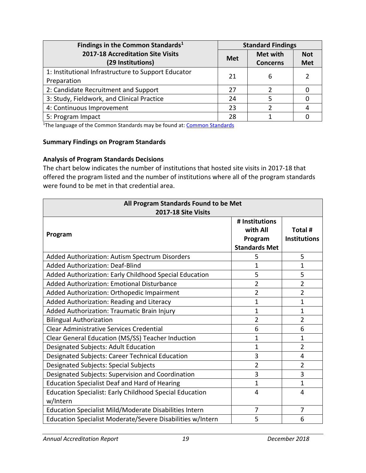| Findings in the Common Standards <sup>1</sup>          |            | <b>Standard Findings</b>    |                          |  |
|--------------------------------------------------------|------------|-----------------------------|--------------------------|--|
| 2017-18 Accreditation Site Visits<br>(29 Institutions) | <b>Met</b> | Met with<br><b>Concerns</b> | <b>Not</b><br><b>Met</b> |  |
|                                                        |            |                             |                          |  |
| 1: Institutional Infrastructure to Support Educator    | 21         | 6                           |                          |  |
| Preparation                                            |            |                             |                          |  |
| 2: Candidate Recruitment and Support                   | 27         |                             |                          |  |
| 3: Study, Fieldwork, and Clinical Practice             | 24         |                             |                          |  |
| 4: Continuous Improvement                              | 23         |                             |                          |  |
| 5: Program Impact                                      | 28         |                             |                          |  |

<sup>1</sup>The language of the [Common Standards](https://www.ctc.ca.gov/docs/default-source/educator-prep/standards/commonstandards-2015-pdf.pdf?sfvrsn=0) may be found at: Common Standards

#### **Summary Findings on Program Standards**

#### **Analysis of Program Standards Decisions**

The chart below indicates the number of institutions that hosted site visits in 2017-18 that offered the program listed and the number of institutions where all of the program standards were found to be met in that credential area.

| All Program Standards Found to be Met<br>2017-18 Site Visits               |                                                               |                                |
|----------------------------------------------------------------------------|---------------------------------------------------------------|--------------------------------|
| Program                                                                    | # Institutions<br>with All<br>Program<br><b>Standards Met</b> | Total #<br><b>Institutions</b> |
| Added Authorization: Autism Spectrum Disorders                             | 5                                                             | 5                              |
| <b>Added Authorization: Deaf-Blind</b>                                     | 1                                                             | $\mathbf{1}$                   |
| Added Authorization: Early Childhood Special Education                     | 5                                                             | 5                              |
| Added Authorization: Emotional Disturbance                                 | $\overline{2}$                                                | $\overline{2}$                 |
| Added Authorization: Orthopedic Impairment                                 | $\overline{2}$                                                | $\overline{2}$                 |
| Added Authorization: Reading and Literacy                                  | 1                                                             | 1                              |
| Added Authorization: Traumatic Brain Injury                                | 1                                                             | 1                              |
| <b>Bilingual Authorization</b>                                             | $\overline{2}$                                                | $\overline{2}$                 |
| <b>Clear Administrative Services Credential</b>                            | 6                                                             | 6                              |
| Clear General Education (MS/SS) Teacher Induction                          | 1                                                             | 1                              |
| Designated Subjects: Adult Education                                       | 1                                                             | $\overline{2}$                 |
| Designated Subjects: Career Technical Education                            | 3                                                             | 4                              |
| <b>Designated Subjects: Special Subjects</b>                               | $\overline{2}$                                                | $\overline{2}$                 |
| Designated Subjects: Supervision and Coordination                          | 3                                                             | 3                              |
| <b>Education Specialist Deaf and Hard of Hearing</b>                       | 1                                                             | $\mathbf{1}$                   |
| <b>Education Specialist: Early Childhood Special Education</b><br>w/Intern | 4                                                             | 4                              |
| Education Specialist Mild/Moderate Disabilities Intern                     | 7                                                             | $\overline{7}$                 |
| Education Specialist Moderate/Severe Disabilities w/Intern                 | 5                                                             | 6                              |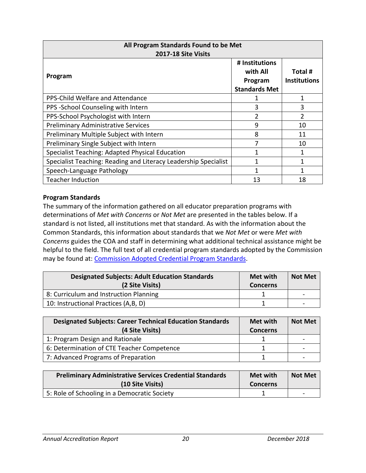| All Program Standards Found to be Met<br>2017-18 Site Visits    |                                                               |                                |
|-----------------------------------------------------------------|---------------------------------------------------------------|--------------------------------|
| Program                                                         | # Institutions<br>with All<br>Program<br><b>Standards Met</b> | Total #<br><b>Institutions</b> |
| PPS-Child Welfare and Attendance                                |                                                               | 1                              |
| PPS -School Counseling with Intern                              | 3                                                             | 3                              |
| PPS-School Psychologist with Intern                             | 2                                                             | 2                              |
| <b>Preliminary Administrative Services</b>                      | 9                                                             | 10                             |
| Preliminary Multiple Subject with Intern                        | 8                                                             | 11                             |
| Preliminary Single Subject with Intern                          |                                                               | 10                             |
| Specialist Teaching: Adapted Physical Education                 |                                                               |                                |
| Specialist Teaching: Reading and Literacy Leadership Specialist |                                                               |                                |
| Speech-Language Pathology                                       |                                                               |                                |
| <b>Teacher Induction</b>                                        | 13                                                            | 18                             |

### **Program Standards**

The summary of the information gathered on all educator preparation programs with determinations of *Met with Concerns* or *Not Met* are presented in the tables below. If a standard is not listed, all institutions met that standard. As with the information about the Common Standards, this information about standards that we *Not Met* or were *Met with Concerns* guides the COA and staff in determining what additional technical assistance might be helpful to the field. The full text of all credential program standards adopted by the Commission may be found at: [Commission Adopted Credential Program Standards.](https://www.ctc.ca.gov/educator-prep/stds-prep-program)

| <b>Designated Subjects: Adult Education Standards</b><br>(2 Site Visits) | <b>Met with</b><br><b>Concerns</b> | <b>Not Met</b>           |
|--------------------------------------------------------------------------|------------------------------------|--------------------------|
| 8: Curriculum and Instruction Planning                                   |                                    | $\overline{\phantom{a}}$ |
| 10: Instructional Practices (A,B, D)                                     |                                    |                          |

| <b>Designated Subjects: Career Technical Education Standards</b><br>(4 Site Visits) | <b>Met with</b><br><b>Concerns</b> | <b>Not Met</b>           |
|-------------------------------------------------------------------------------------|------------------------------------|--------------------------|
| 1: Program Design and Rationale                                                     |                                    | $\overline{\phantom{0}}$ |
| 6: Determination of CTE Teacher Competence                                          |                                    |                          |
| 7: Advanced Programs of Preparation                                                 |                                    |                          |

| <b>Preliminary Administrative Services Credential Standards</b><br>(10 Site Visits) | Met with<br><b>Concerns</b> | <b>Not Met</b>  |
|-------------------------------------------------------------------------------------|-----------------------------|-----------------|
| 5: Role of Schooling in a Democratic Society                                        |                             | $\qquad \qquad$ |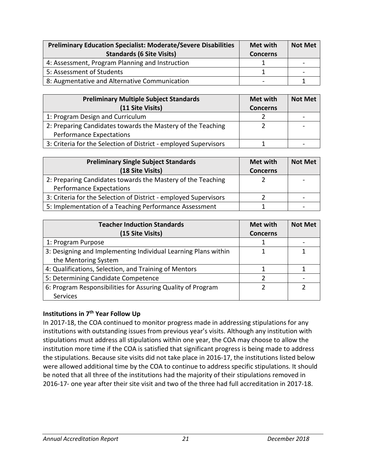| <b>Preliminary Education Specialist: Moderate/Severe Disabilities</b><br><b>Standards (6 Site Visits)</b> | Met with<br><b>Concerns</b> | <b>Not Met</b>           |
|-----------------------------------------------------------------------------------------------------------|-----------------------------|--------------------------|
| 4: Assessment, Program Planning and Instruction                                                           |                             | $\overline{\phantom{0}}$ |
| 5: Assessment of Students                                                                                 |                             |                          |
| 8: Augmentative and Alternative Communication                                                             | $\qquad \qquad$             |                          |

| <b>Preliminary Multiple Subject Standards</b><br>(11 Site Visits) | Met with<br><b>Concerns</b> | <b>Not Met</b>           |
|-------------------------------------------------------------------|-----------------------------|--------------------------|
| 1: Program Design and Curriculum                                  |                             |                          |
| 2: Preparing Candidates towards the Mastery of the Teaching       |                             | $\overline{\phantom{0}}$ |
| <b>Performance Expectations</b>                                   |                             |                          |
| 3: Criteria for the Selection of District - employed Supervisors  |                             |                          |

| <b>Preliminary Single Subject Standards</b>                      | Met with        | <b>Not Met</b> |
|------------------------------------------------------------------|-----------------|----------------|
| (18 Site Visits)                                                 | <b>Concerns</b> |                |
| 2: Preparing Candidates towards the Mastery of the Teaching      |                 |                |
| <b>Performance Expectations</b>                                  |                 |                |
| 3: Criteria for the Selection of District - employed Supervisors |                 |                |
| 5: Implementation of a Teaching Performance Assessment           |                 |                |

| <b>Teacher Induction Standards</b>                             | <b>Met with</b> | <b>Not Met</b> |
|----------------------------------------------------------------|-----------------|----------------|
| (15 Site Visits)                                               | <b>Concerns</b> |                |
| 1: Program Purpose                                             |                 |                |
| 3: Designing and Implementing Individual Learning Plans within |                 |                |
| the Mentoring System                                           |                 |                |
| 4: Qualifications, Selection, and Training of Mentors          |                 |                |
| 5: Determining Candidate Competence                            |                 |                |
| 6: Program Responsibilities for Assuring Quality of Program    |                 |                |
| <b>Services</b>                                                |                 |                |

## **Institutions in 7th Year Follow Up**

In 2017-18, the COA continued to monitor progress made in addressing stipulations for any institutions with outstanding issues from previous year's visits. Although any institution with stipulations must address all stipulations within one year, the COA may choose to allow the institution more time if the COA is satisfied that significant progress is being made to address the stipulations. Because site visits did not take place in 2016-17, the institutions listed below were allowed additional time by the COA to continue to address specific stipulations. It should be noted that all three of the institutions had the majority of their stipulations removed in 2016-17- one year after their site visit and two of the three had full accreditation in 2017-18.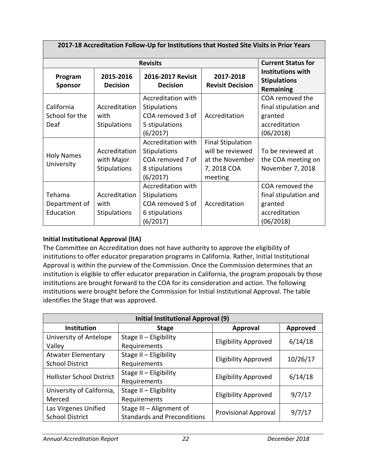| 2017-18 Accreditation Follow-Up for Institutions that Hosted Site Visits in Prior Years |                                                    |                                                                                                    |                                                                                           |                                                                                   |
|-----------------------------------------------------------------------------------------|----------------------------------------------------|----------------------------------------------------------------------------------------------------|-------------------------------------------------------------------------------------------|-----------------------------------------------------------------------------------|
| <b>Revisits</b>                                                                         |                                                    |                                                                                                    |                                                                                           | <b>Current Status for</b>                                                         |
| Program<br><b>Sponsor</b>                                                               | 2015-2016<br><b>Decision</b>                       | 2016-2017 Revisit<br><b>Decision</b>                                                               | 2017-2018<br><b>Revisit Decision</b>                                                      | <b>Institutions with</b><br><b>Stipulations</b><br>Remaining                      |
| California<br>School for the<br>Deaf                                                    | Accreditation<br>with<br>Stipulations              | <b>Accreditation with</b><br><b>Stipulations</b><br>COA removed 3 of<br>5 stipulations<br>(6/2017) | Accreditation                                                                             | COA removed the<br>final stipulation and<br>granted<br>accreditation<br>(06/2018) |
| <b>Holy Names</b><br>University                                                         | Accreditation<br>with Major<br><b>Stipulations</b> | <b>Accreditation with</b><br><b>Stipulations</b><br>COA removed 7 of<br>8 stipulations<br>(6/2017) | <b>Final Stipulation</b><br>will be reviewed<br>at the November<br>7, 2018 COA<br>meeting | To be reviewed at<br>the COA meeting on<br>November 7, 2018                       |
| Tehama<br>Department of<br>Education                                                    | Accreditation<br>with<br><b>Stipulations</b>       | <b>Accreditation with</b><br><b>Stipulations</b><br>COA removed 5 of<br>6 stipulations<br>(6/2017) | Accreditation                                                                             | COA removed the<br>final stipulation and<br>granted<br>accreditation<br>(06/2018) |

# **Initial Institutional Approval (IIA)**

The Committee on Accreditation does not have authority to approve the eligibility of institutions to offer educator preparation programs in California. Rather, Initial Institutional Approval is within the purview of the Commission. Once the Commission determines that an institution is eligible to offer educator preparation in California, the program proposals by those institutions are brought forward to the COA for its consideration and action. The following institutions were brought before the Commission for Initial Institutional Approval. The table identifies the Stage that was approved.

| Initial Institutional Approval (9)                           |                          |                             |                 |
|--------------------------------------------------------------|--------------------------|-----------------------------|-----------------|
| <b>Institution</b>                                           | <b>Stage</b>             | <b>Approval</b>             | <b>Approved</b> |
| University of Antelope                                       | Stage II - Eligibility   | <b>Eligibility Approved</b> | 6/14/18         |
| Valley                                                       | Requirements             |                             |                 |
| <b>Atwater Elementary</b>                                    | Stage II - Eligibility   | <b>Eligibility Approved</b> | 10/26/17        |
| <b>School District</b>                                       | Requirements             |                             |                 |
| <b>Hollister School District</b>                             | Stage II - Eligibility   | <b>Eligibility Approved</b> | 6/14/18         |
|                                                              | Requirements             |                             |                 |
| University of California,                                    | Stage II - Eligibility   | <b>Eligibility Approved</b> | 9/7/17          |
| Merced                                                       | Requirements             |                             |                 |
| Las Virgenes Unified                                         | Stage III - Alignment of |                             | 9/7/17          |
| <b>Standards and Preconditions</b><br><b>School District</b> |                          | <b>Provisional Approval</b> |                 |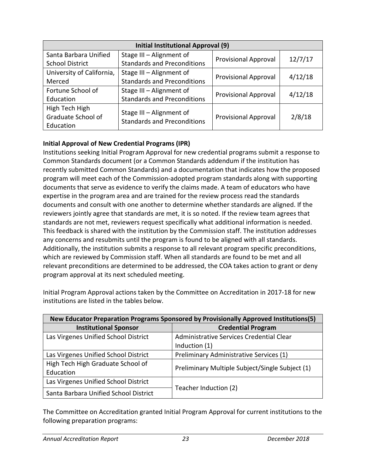| Initial Institutional Approval (9) |                                    |                             |         |
|------------------------------------|------------------------------------|-----------------------------|---------|
| Santa Barbara Unified              | Stage III - Alignment of           | <b>Provisional Approval</b> | 12/7/17 |
| <b>School District</b>             | <b>Standards and Preconditions</b> |                             |         |
| University of California,          | Stage III - Alignment of           | <b>Provisional Approval</b> | 4/12/18 |
| Merced                             | <b>Standards and Preconditions</b> |                             |         |
| Fortune School of                  | Stage III - Alignment of           |                             |         |
| Education                          | <b>Standards and Preconditions</b> | <b>Provisional Approval</b> | 4/12/18 |
| High Tech High                     | Stage III - Alignment of           |                             |         |
| Graduate School of                 | <b>Standards and Preconditions</b> | <b>Provisional Approval</b> | 2/8/18  |
| Education                          |                                    |                             |         |

# **Initial Approval of New Credential Programs (IPR)**

Institutions seeking Initial Program Approval for new credential programs submit a response to Common Standards document (or a Common Standards addendum if the institution has recently submitted Common Standards) and a documentation that indicates how the proposed program will meet each of the Commission-adopted program standards along with supporting documents that serve as evidence to verify the claims made. A team of educators who have expertise in the program area and are trained for the review process read the standards documents and consult with one another to determine whether standards are aligned. If the reviewers jointly agree that standards are met, it is so noted. If the review team agrees that standards are not met, reviewers request specifically what additional information is needed. This feedback is shared with the institution by the Commission staff. The institution addresses any concerns and resubmits until the program is found to be aligned with all standards. Additionally, the institution submits a response to all relevant program specific preconditions, which are reviewed by Commission staff. When all standards are found to be met and all relevant preconditions are determined to be addressed, the COA takes action to grant or deny program approval at its next scheduled meeting.

| New Educator Preparation Programs Sponsored by Provisionally Approved Institutions(5) |                                                 |  |
|---------------------------------------------------------------------------------------|-------------------------------------------------|--|
| <b>Institutional Sponsor</b>                                                          | <b>Credential Program</b>                       |  |
| Las Virgenes Unified School District                                                  | Administrative Services Credential Clear        |  |
|                                                                                       | Induction (1)                                   |  |
| Las Virgenes Unified School District                                                  | Preliminary Administrative Services (1)         |  |
| High Tech High Graduate School of                                                     |                                                 |  |
| Education                                                                             | Preliminary Multiple Subject/Single Subject (1) |  |
| Las Virgenes Unified School District                                                  |                                                 |  |
| Santa Barbara Unified School District                                                 | Teacher Induction (2)                           |  |

Initial Program Approval actions taken by the Committee on Accreditation in 2017-18 for new institutions are listed in the tables below.

The Committee on Accreditation granted Initial Program Approval for current institutions to the following preparation programs: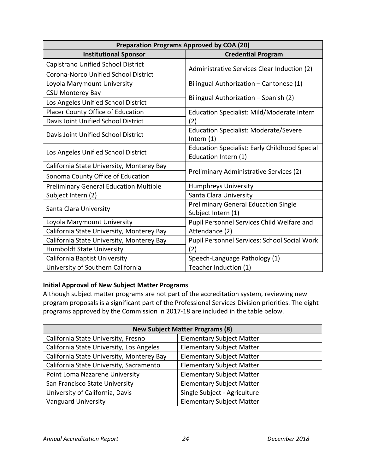| <b>Preparation Programs Approved by COA (20)</b> |                                                                              |  |
|--------------------------------------------------|------------------------------------------------------------------------------|--|
| <b>Institutional Sponsor</b>                     | <b>Credential Program</b>                                                    |  |
| Capistrano Unified School District               |                                                                              |  |
| Corona-Norco Unified School District             | Administrative Services Clear Induction (2)                                  |  |
| Loyola Marymount University                      | Bilingual Authorization - Cantonese (1)                                      |  |
| <b>CSU Monterey Bay</b>                          |                                                                              |  |
| Los Angeles Unified School District              | Bilingual Authorization - Spanish (2)                                        |  |
| Placer County Office of Education                | Education Specialist: Mild/Moderate Intern                                   |  |
| Davis Joint Unified School District              | (2)                                                                          |  |
| Davis Joint Unified School District              | <b>Education Specialist: Moderate/Severe</b><br>Intern $(1)$                 |  |
| Los Angeles Unified School District              | <b>Education Specialist: Early Childhood Special</b><br>Education Intern (1) |  |
| California State University, Monterey Bay        | Preliminary Administrative Services (2)                                      |  |
| Sonoma County Office of Education                |                                                                              |  |
| <b>Preliminary General Education Multiple</b>    | <b>Humphreys University</b>                                                  |  |
| Subject Intern (2)                               | Santa Clara University                                                       |  |
| Santa Clara University                           | <b>Preliminary General Education Single</b>                                  |  |
|                                                  | Subject Intern (1)                                                           |  |
| Loyola Marymount University                      | Pupil Personnel Services Child Welfare and                                   |  |
| California State University, Monterey Bay        | Attendance (2)                                                               |  |
| California State University, Monterey Bay        | Pupil Personnel Services: School Social Work                                 |  |
| <b>Humboldt State University</b>                 | (2)                                                                          |  |
| California Baptist University                    | Speech-Language Pathology (1)                                                |  |
| University of Southern California                | Teacher Induction (1)                                                        |  |

## **Initial Approval of New Subject Matter Programs**

Although subject matter programs are not part of the accreditation system, reviewing new program proposals is a significant part of the Professional Services Division priorities. The eight programs approved by the Commission in 2017-18 are included in the table below.

| <b>New Subject Matter Programs (8)</b>    |                                  |  |
|-------------------------------------------|----------------------------------|--|
| California State University, Fresno       | <b>Elementary Subject Matter</b> |  |
| California State University, Los Angeles  | <b>Elementary Subject Matter</b> |  |
| California State University, Monterey Bay | <b>Elementary Subject Matter</b> |  |
| California State University, Sacramento   | <b>Elementary Subject Matter</b> |  |
| Point Loma Nazarene University            | <b>Elementary Subject Matter</b> |  |
| San Francisco State University            | <b>Elementary Subject Matter</b> |  |
| University of California, Davis           | Single Subject - Agriculture     |  |
| <b>Vanguard University</b>                | <b>Elementary Subject Matter</b> |  |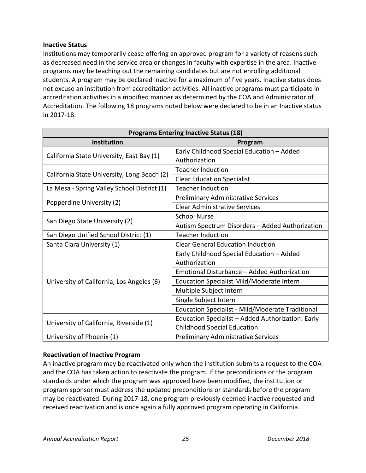### **Inactive Status**

Institutions may temporarily cease offering an approved program for a variety of reasons such as decreased need in the service area or changes in faculty with expertise in the area. Inactive programs may be teaching out the remaining candidates but are not enrolling additional students. A program may be declared inactive for a maximum of five years. Inactive status does not excuse an institution from accreditation activities. All inactive programs must participate in accreditation activities in a modified manner as determined by the COA and Administrator of Accreditation. The following 18 programs noted below were declared to be in an Inactive status in 2017-18.

| <b>Programs Entering Inactive Status (18)</b> |                                                         |  |
|-----------------------------------------------|---------------------------------------------------------|--|
| Institution                                   | Program                                                 |  |
| California State University, East Bay (1)     | Early Childhood Special Education - Added               |  |
|                                               | Authorization                                           |  |
| California State University, Long Beach (2)   | <b>Teacher Induction</b>                                |  |
|                                               | <b>Clear Education Specialist</b>                       |  |
| La Mesa - Spring Valley School District (1)   | <b>Teacher Induction</b>                                |  |
|                                               | <b>Preliminary Administrative Services</b>              |  |
| Pepperdine University (2)                     | <b>Clear Administrative Services</b>                    |  |
|                                               | <b>School Nurse</b>                                     |  |
| San Diego State University (2)                | Autism Spectrum Disorders - Added Authorization         |  |
| San Diego Unified School District (1)         | <b>Teacher Induction</b>                                |  |
| Santa Clara University (1)                    | <b>Clear General Education Induction</b>                |  |
|                                               | Early Childhood Special Education - Added               |  |
|                                               | Authorization                                           |  |
|                                               | Emotional Disturbance - Added Authorization             |  |
| University of California, Los Angeles (6)     | Education Specialist Mild/Moderate Intern               |  |
|                                               | Multiple Subject Intern                                 |  |
|                                               | Single Subject Intern                                   |  |
|                                               | <b>Education Specialist - Mild/Moderate Traditional</b> |  |
| University of California, Riverside (1)       | Education Specialist - Added Authorization: Early       |  |
|                                               | <b>Childhood Special Education</b>                      |  |
| University of Phoenix (1)                     | Preliminary Administrative Services                     |  |

## **Reactivation of Inactive Program**

An inactive program may be reactivated only when the institution submits a request to the COA and the COA has taken action to reactivate the program. If the preconditions or the program standards under which the program was approved have been modified, the institution or program sponsor must address the updated preconditions or standards before the program may be reactivated. During 2017-18, one program previously deemed inactive requested and received reactivation and is once again a fully approved program operating in California.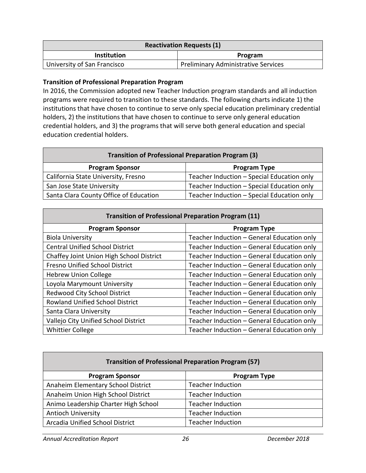| <b>Reactivation Requests (1)</b> |                                            |  |
|----------------------------------|--------------------------------------------|--|
| <b>Institution</b><br>Program    |                                            |  |
| University of San Francisco      | <b>Preliminary Administrative Services</b> |  |

### **Transition of Professional Preparation Program**

In 2016, the Commission adopted new Teacher Induction program standards and all induction programs were required to transition to these standards. The following charts indicate 1) the institutions that have chosen to continue to serve only special education preliminary credential holders, 2) the institutions that have chosen to continue to serve only general education credential holders, and 3) the programs that will serve both general education and special education credential holders.

| <b>Transition of Professional Preparation Program (3)</b> |                                            |  |
|-----------------------------------------------------------|--------------------------------------------|--|
| <b>Program Sponsor</b>                                    | <b>Program Type</b>                        |  |
| California State University, Fresno                       | Teacher Induction - Special Education only |  |
| San Jose State University                                 | Teacher Induction - Special Education only |  |
| Santa Clara County Office of Education                    | Teacher Induction - Special Education only |  |

| <b>Transition of Professional Preparation Program (11)</b> |                                            |  |
|------------------------------------------------------------|--------------------------------------------|--|
| <b>Program Sponsor</b>                                     | <b>Program Type</b>                        |  |
| <b>Biola University</b>                                    | Teacher Induction - General Education only |  |
| <b>Central Unified School District</b>                     | Teacher Induction - General Education only |  |
| Chaffey Joint Union High School District                   | Teacher Induction - General Education only |  |
| <b>Fresno Unified School District</b>                      | Teacher Induction - General Education only |  |
| <b>Hebrew Union College</b>                                | Teacher Induction - General Education only |  |
| Loyola Marymount University                                | Teacher Induction - General Education only |  |
| Redwood City School District                               | Teacher Induction - General Education only |  |
| <b>Rowland Unified School District</b>                     | Teacher Induction - General Education only |  |
| Santa Clara University                                     | Teacher Induction - General Education only |  |
| Vallejo City Unified School District                       | Teacher Induction - General Education only |  |
| <b>Whittier College</b>                                    | Teacher Induction - General Education only |  |

| <b>Transition of Professional Preparation Program (57)</b> |                          |  |
|------------------------------------------------------------|--------------------------|--|
| <b>Program Sponsor</b>                                     | <b>Program Type</b>      |  |
| Anaheim Elementary School District                         | <b>Teacher Induction</b> |  |
| Anaheim Union High School District                         | <b>Teacher Induction</b> |  |
| Animo Leadership Charter High School                       | <b>Teacher Induction</b> |  |
| <b>Antioch University</b>                                  | <b>Teacher Induction</b> |  |
| Arcadia Unified School District                            | <b>Teacher Induction</b> |  |

*Annual Accreditation Report 26 December 2018*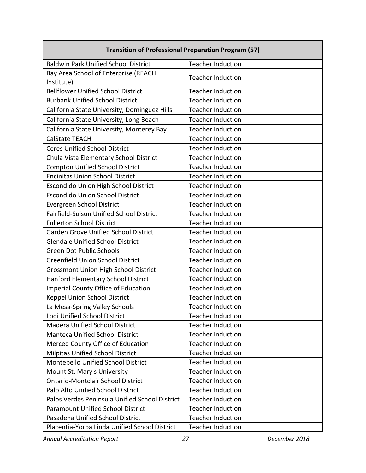| <b>Transition of Professional Preparation Program (57)</b> |                          |  |
|------------------------------------------------------------|--------------------------|--|
| <b>Baldwin Park Unified School District</b>                | <b>Teacher Induction</b> |  |
| Bay Area School of Enterprise (REACH<br>Institute)         | <b>Teacher Induction</b> |  |
| <b>Bellflower Unified School District</b>                  | <b>Teacher Induction</b> |  |
| <b>Burbank Unified School District</b>                     | <b>Teacher Induction</b> |  |
| California State University, Dominguez Hills               | <b>Teacher Induction</b> |  |
| California State University, Long Beach                    | <b>Teacher Induction</b> |  |
| California State University, Monterey Bay                  | <b>Teacher Induction</b> |  |
| <b>CalState TEACH</b>                                      | <b>Teacher Induction</b> |  |
| <b>Ceres Unified School District</b>                       | <b>Teacher Induction</b> |  |
| Chula Vista Elementary School District                     | <b>Teacher Induction</b> |  |
| <b>Compton Unified School District</b>                     | <b>Teacher Induction</b> |  |
| <b>Encinitas Union School District</b>                     | <b>Teacher Induction</b> |  |
| <b>Escondido Union High School District</b>                | <b>Teacher Induction</b> |  |
| <b>Escondido Union School District</b>                     | <b>Teacher Induction</b> |  |
| <b>Evergreen School District</b>                           | <b>Teacher Induction</b> |  |
| Fairfield-Suisun Unified School District                   | <b>Teacher Induction</b> |  |
| <b>Fullerton School District</b>                           | <b>Teacher Induction</b> |  |
| <b>Garden Grove Unified School District</b>                | <b>Teacher Induction</b> |  |
| <b>Glendale Unified School District</b>                    | <b>Teacher Induction</b> |  |
| <b>Green Dot Public Schools</b>                            | <b>Teacher Induction</b> |  |
| <b>Greenfield Union School District</b>                    | <b>Teacher Induction</b> |  |
| <b>Grossmont Union High School District</b>                | <b>Teacher Induction</b> |  |
| Hanford Elementary School District                         | <b>Teacher Induction</b> |  |
| <b>Imperial County Office of Education</b>                 | <b>Teacher Induction</b> |  |
| Keppel Union School District                               | <b>Teacher Induction</b> |  |
| La Mesa-Spring Valley Schools                              | <b>Teacher Induction</b> |  |
| Lodi Unified School District                               | Teacher Induction        |  |
| <b>Madera Unified School District</b>                      | <b>Teacher Induction</b> |  |
| <b>Manteca Unified School District</b>                     | <b>Teacher Induction</b> |  |
| Merced County Office of Education                          | <b>Teacher Induction</b> |  |
| <b>Milpitas Unified School District</b>                    | <b>Teacher Induction</b> |  |
| Montebello Unified School District                         | <b>Teacher Induction</b> |  |
| Mount St. Mary's University                                | <b>Teacher Induction</b> |  |
| <b>Ontario-Montclair School District</b>                   | <b>Teacher Induction</b> |  |
| Palo Alto Unified School District                          | <b>Teacher Induction</b> |  |
| Palos Verdes Peninsula Unified School District             | <b>Teacher Induction</b> |  |
| <b>Paramount Unified School District</b>                   | <b>Teacher Induction</b> |  |
| Pasadena Unified School District                           | <b>Teacher Induction</b> |  |
| Placentia-Yorba Linda Unified School District              | <b>Teacher Induction</b> |  |

*Annual Accreditation Report 27 December 2018*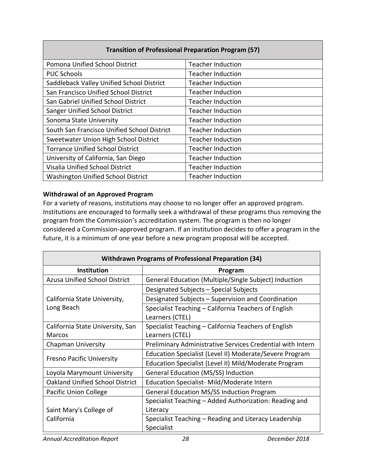| <b>Transition of Professional Preparation Program (57)</b> |                          |  |  |  |
|------------------------------------------------------------|--------------------------|--|--|--|
| Pomona Unified School District                             | <b>Teacher Induction</b> |  |  |  |
| <b>PUC Schools</b>                                         | <b>Teacher Induction</b> |  |  |  |
| Saddleback Valley Unified School District                  | <b>Teacher Induction</b> |  |  |  |
| San Francisco Unified School District                      | <b>Teacher Induction</b> |  |  |  |
| San Gabriel Unified School District                        | <b>Teacher Induction</b> |  |  |  |
| Sanger Unified School District                             | <b>Teacher Induction</b> |  |  |  |
| Sonoma State University                                    | <b>Teacher Induction</b> |  |  |  |
| South San Francisco Unified School District                | <b>Teacher Induction</b> |  |  |  |
| Sweetwater Union High School District                      | <b>Teacher Induction</b> |  |  |  |
| <b>Torrance Unified School District</b>                    | <b>Teacher Induction</b> |  |  |  |
| University of California, San Diego                        | <b>Teacher Induction</b> |  |  |  |
| Visalia Unified School District                            | <b>Teacher Induction</b> |  |  |  |
| <b>Washington Unified School District</b>                  | <b>Teacher Induction</b> |  |  |  |

## **Withdrawal of an Approved Program**

For a variety of reasons, institutions may choose to no longer offer an approved program. Institutions are encouraged to formally seek a withdrawal of these programs thus removing the program from the Commission's accreditation system. The program is then no longer considered a Commission-approved program. If an institution decides to offer a program in the future, it is a minimum of one year before a new program proposal will be accepted.

| <b>Withdrawn Programs of Professional Preparation (34)</b> |                                                            |  |  |
|------------------------------------------------------------|------------------------------------------------------------|--|--|
| Institution                                                | Program                                                    |  |  |
| <b>Azusa Unified School District</b>                       | General Education (Multiple/Single Subject) Induction      |  |  |
|                                                            | Designated Subjects - Special Subjects                     |  |  |
| California State University,                               | Designated Subjects - Supervision and Coordination         |  |  |
| Long Beach                                                 | Specialist Teaching – California Teachers of English       |  |  |
|                                                            | Learners (CTEL)                                            |  |  |
| California State University, San                           | Specialist Teaching - California Teachers of English       |  |  |
| Marcos                                                     | Learners (CTEL)                                            |  |  |
| <b>Chapman University</b>                                  | Preliminary Administrative Services Credential with Intern |  |  |
| <b>Fresno Pacific University</b>                           | Education Specialist (Level II) Moderate/Severe Program    |  |  |
|                                                            | Education Specialist (Level II) Mild/Moderate Program      |  |  |
| Loyola Marymount University                                | <b>General Education (MS/SS) Induction</b>                 |  |  |
| <b>Oakland Unified School District</b>                     | Education Specialist- Mild/Moderate Intern                 |  |  |
| Pacific Union College                                      | <b>General Education MS/SS Induction Program</b>           |  |  |
|                                                            | Specialist Teaching - Added Authorization: Reading and     |  |  |
| Saint Mary's College of                                    | Literacy                                                   |  |  |
| California                                                 | Specialist Teaching - Reading and Literacy Leadership      |  |  |
|                                                            | Specialist                                                 |  |  |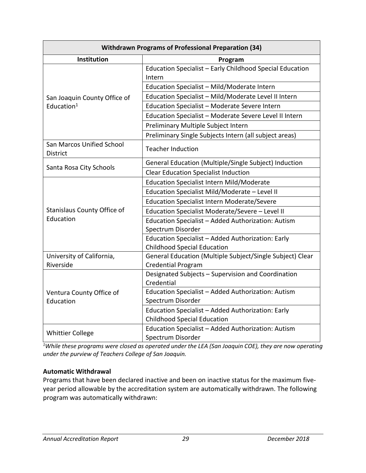| <b>Withdrawn Programs of Professional Preparation (34)</b> |                                                                    |  |  |
|------------------------------------------------------------|--------------------------------------------------------------------|--|--|
| Institution                                                | Program                                                            |  |  |
|                                                            | Education Specialist - Early Childhood Special Education<br>Intern |  |  |
|                                                            | Education Specialist - Mild/Moderate Intern                        |  |  |
| San Joaquin County Office of                               | Education Specialist - Mild/Moderate Level II Intern               |  |  |
| Education $1$                                              | Education Specialist - Moderate Severe Intern                      |  |  |
|                                                            | Education Specialist - Moderate Severe Level II Intern             |  |  |
|                                                            | Preliminary Multiple Subject Intern                                |  |  |
|                                                            | Preliminary Single Subjects Intern (all subject areas)             |  |  |
| San Marcos Unified School<br><b>District</b>               | <b>Teacher Induction</b>                                           |  |  |
|                                                            | General Education (Multiple/Single Subject) Induction              |  |  |
| Santa Rosa City Schools                                    | <b>Clear Education Specialist Induction</b>                        |  |  |
|                                                            | <b>Education Specialist Intern Mild/Moderate</b>                   |  |  |
|                                                            | Education Specialist Mild/Moderate - Level II                      |  |  |
|                                                            | <b>Education Specialist Intern Moderate/Severe</b>                 |  |  |
| <b>Stanislaus County Office of</b>                         | Education Specialist Moderate/Severe - Level II                    |  |  |
| Education                                                  | Education Specialist - Added Authorization: Autism                 |  |  |
|                                                            | Spectrum Disorder                                                  |  |  |
|                                                            | Education Specialist - Added Authorization: Early                  |  |  |
|                                                            | <b>Childhood Special Education</b>                                 |  |  |
| University of California,                                  | General Education (Multiple Subject/Single Subject) Clear          |  |  |
| Riverside                                                  | <b>Credential Program</b>                                          |  |  |
|                                                            | Designated Subjects - Supervision and Coordination<br>Credential   |  |  |
|                                                            | Education Specialist - Added Authorization: Autism                 |  |  |
| Ventura County Office of<br>Education                      | Spectrum Disorder                                                  |  |  |
|                                                            | Education Specialist - Added Authorization: Early                  |  |  |
|                                                            | <b>Childhood Special Education</b>                                 |  |  |
|                                                            | Education Specialist - Added Authorization: Autism                 |  |  |
| <b>Whittier College</b>                                    | Spectrum Disorder                                                  |  |  |

*1 While these programs were closed as operated under the LEA (San Joaquin COE), they are now operating under the purview of Teachers College of San Joaquin.*

## **Automatic Withdrawal**

Programs that have been declared inactive and been on inactive status for the maximum fiveyear period allowable by the accreditation system are automatically withdrawn. The following program was automatically withdrawn: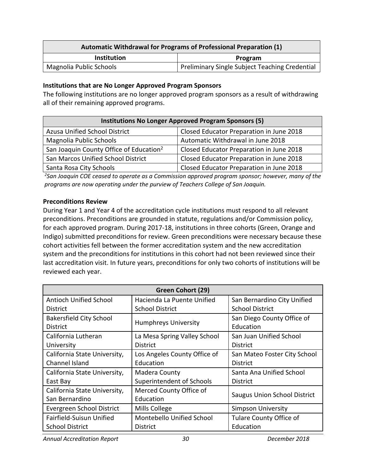| Automatic Withdrawal for Programs of Professional Preparation (1) |                                                |  |  |  |
|-------------------------------------------------------------------|------------------------------------------------|--|--|--|
| <b>Institution</b><br>Program                                     |                                                |  |  |  |
| Magnolia Public Schools                                           | Preliminary Single Subject Teaching Credential |  |  |  |

#### **Institutions that are No Longer Approved Program Sponsors**

The following institutions are no longer approved program sponsors as a result of withdrawing all of their remaining approved programs.

| <b>Institutions No Longer Approved Program Sponsors (5)</b> |                                          |  |  |
|-------------------------------------------------------------|------------------------------------------|--|--|
| Azusa Unified School District                               | Closed Educator Preparation in June 2018 |  |  |
| Magnolia Public Schools                                     | Automatic Withdrawal in June 2018        |  |  |
| San Joaquin County Office of Education <sup>2</sup>         | Closed Educator Preparation in June 2018 |  |  |
| San Marcos Unified School District                          | Closed Educator Preparation in June 2018 |  |  |
| Santa Rosa City Schools                                     | Closed Educator Preparation in June 2018 |  |  |

*2 San Joaquin COE ceased to operate as a Commission approved program sponsor; however, many of the programs are now operating under the purview of Teachers College of San Joaquin.*

#### **Preconditions Review**

During Year 1 and Year 4 of the accreditation cycle institutions must respond to all relevant preconditions. Preconditions are grounded in statute, regulations and/or Commission policy, for each approved program. During 2017-18, institutions in three cohorts (Green, Orange and Indigo) submitted preconditions for review. Green preconditions were necessary because these cohort activities fell between the former accreditation system and the new accreditation system and the preconditions for institutions in this cohort had not been reviewed since their last accreditation visit. In future years, preconditions for only two cohorts of institutions will be reviewed each year.

| Green Cohort (29)              |                              |                                     |  |  |
|--------------------------------|------------------------------|-------------------------------------|--|--|
| <b>Antioch Unified School</b>  | Hacienda La Puente Unified   | San Bernardino City Unified         |  |  |
| <b>District</b>                | <b>School District</b>       | <b>School District</b>              |  |  |
| <b>Bakersfield City School</b> | Humphreys University         | San Diego County Office of          |  |  |
| <b>District</b>                |                              | Education                           |  |  |
| California Lutheran            | La Mesa Spring Valley School | San Juan Unified School             |  |  |
| University                     | <b>District</b>              | <b>District</b>                     |  |  |
| California State University,   | Los Angeles County Office of | San Mateo Foster City School        |  |  |
| Channel Island                 | Education                    | <b>District</b>                     |  |  |
| California State University,   | Madera County                | Santa Ana Unified School            |  |  |
| East Bay                       | Superintendent of Schools    | District                            |  |  |
| California State University,   | Merced County Office of      | <b>Saugus Union School District</b> |  |  |
| San Bernardino                 | Education                    |                                     |  |  |
| Evergreen School District      | Mills College                | <b>Simpson University</b>           |  |  |
| Fairfield-Suisun Unified       | Montebello Unified School    | <b>Tulare County Office of</b>      |  |  |
| <b>School District</b>         | <b>District</b>              | Education                           |  |  |

*Annual Accreditation Report 30 December 2018*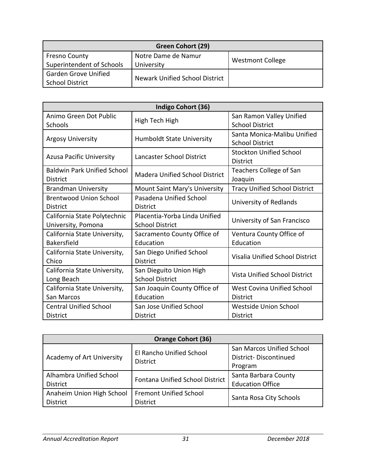| Green Cohort (29)                       |                                |                         |  |
|-----------------------------------------|--------------------------------|-------------------------|--|
| <b>Fresno County</b>                    | Notre Dame de Namur            | <b>Westmont College</b> |  |
| Superintendent of Schools<br>University |                                |                         |  |
| <b>Garden Grove Unified</b>             |                                |                         |  |
| <b>School District</b>                  | Newark Unified School District |                         |  |

| Indigo Cohort (36)                                 |                                                         |                                                       |  |  |
|----------------------------------------------------|---------------------------------------------------------|-------------------------------------------------------|--|--|
| Animo Green Dot Public<br>Schools                  | High Tech High                                          | San Ramon Valley Unified<br><b>School District</b>    |  |  |
| <b>Argosy University</b>                           | <b>Humboldt State University</b>                        | Santa Monica-Malibu Unified<br><b>School District</b> |  |  |
| <b>Azusa Pacific University</b>                    | Lancaster School District                               | <b>Stockton Unified School</b><br><b>District</b>     |  |  |
| Baldwin Park Unified School<br><b>District</b>     | <b>Madera Unified School District</b>                   | Teachers College of San<br>Joaquin                    |  |  |
| <b>Brandman University</b>                         | Mount Saint Mary's University                           | <b>Tracy Unified School District</b>                  |  |  |
| <b>Brentwood Union School</b><br><b>District</b>   | Pasadena Unified School<br><b>District</b>              | University of Redlands                                |  |  |
| California State Polytechnic<br>University, Pomona | Placentia-Yorba Linda Unified<br><b>School District</b> | University of San Francisco                           |  |  |
| California State University,<br><b>Bakersfield</b> | Sacramento County Office of<br>Education                | Ventura County Office of<br>Education                 |  |  |
| California State University,<br>Chico              | San Diego Unified School<br><b>District</b>             | <b>Visalia Unified School District</b>                |  |  |
| California State University,<br>Long Beach         | San Dieguito Union High<br><b>School District</b>       | <b>Vista Unified School District</b>                  |  |  |
| California State University,<br>San Marcos         | San Joaquin County Office of<br>Education               | West Covina Unified School<br><b>District</b>         |  |  |
| <b>Central Unified School</b><br><b>District</b>   | San Jose Unified School<br><b>District</b>              | Westside Union School<br><b>District</b>              |  |  |

| <b>Orange Cohort (36)</b>                    |                                                  |                                                                      |  |  |
|----------------------------------------------|--------------------------------------------------|----------------------------------------------------------------------|--|--|
| Academy of Art University                    | El Rancho Unified School<br><b>District</b>      | San Marcos Unified School<br><b>District-Discontinued</b><br>Program |  |  |
| Alhambra Unified School<br><b>District</b>   | Fontana Unified School District                  | Santa Barbara County<br><b>Education Office</b>                      |  |  |
| Anaheim Union High School<br><b>District</b> | <b>Fremont Unified School</b><br><b>District</b> | Santa Rosa City Schools                                              |  |  |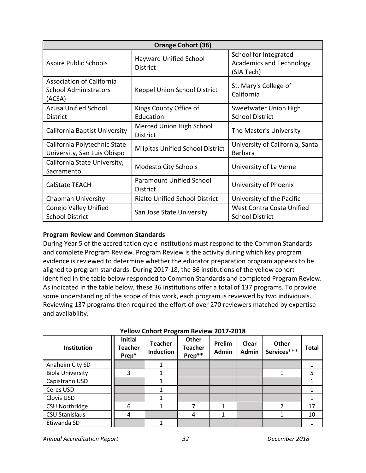| <b>Orange Cohort (36)</b>                                                  |                                                    |                                                                        |  |  |
|----------------------------------------------------------------------------|----------------------------------------------------|------------------------------------------------------------------------|--|--|
| Aspire Public Schools                                                      | Hayward Unified School<br><b>District</b>          | School for Integrated<br><b>Academics and Technology</b><br>(SIA Tech) |  |  |
| <b>Association of California</b><br><b>School Administrators</b><br>(ACSA) | Keppel Union School District                       | St. Mary's College of<br>California                                    |  |  |
| <b>Azusa Unified School</b><br><b>District</b>                             | Kings County Office of<br>Education                | Sweetwater Union High<br><b>School District</b>                        |  |  |
| California Baptist University                                              | Merced Union High School<br><b>District</b>        | The Master's University                                                |  |  |
| California Polytechnic State<br>University, San Luis Obispo                | <b>Milpitas Unified School District</b>            | University of California, Santa<br><b>Barbara</b>                      |  |  |
| California State University,<br>Sacramento                                 | Modesto City Schools                               | University of La Verne                                                 |  |  |
| <b>CalState TEACH</b>                                                      | <b>Paramount Unified School</b><br><b>District</b> | University of Phoenix                                                  |  |  |
| <b>Chapman University</b>                                                  | <b>Rialto Unified School District</b>              | University of the Pacific                                              |  |  |
| Conejo Valley Unified<br><b>School District</b>                            | San Jose State University                          | West Contra Costa Unified<br><b>School District</b>                    |  |  |

## **Program Review and Common Standards**

During Year 5 of the accreditation cycle institutions must respond to the Common Standards and complete Program Review. Program Review is the activity during which key program evidence is reviewed to determine whether the educator preparation program appears to be aligned to program standards. During 2017-18, the 36 institutions of the yellow cohort identified in the table below responded to Common Standards and completed Program Review. As indicated in the table below, these 36 institutions offer a total of 137 programs. To provide some understanding of the scope of this work, each program is reviewed by two individuals. Reviewing 137 programs then required the effort of over 270 reviewers matched by expertise and availability.

| Institution             | <b>Initial</b><br>Teacher<br>Prep* | <b>Teacher</b><br><b>Induction</b> | <b>Other</b><br><b>Teacher</b><br>Prep** | Prelim<br><b>Admin</b> | Clear<br>Admin | Other<br>Services*** | <b>Total</b> |
|-------------------------|------------------------------------|------------------------------------|------------------------------------------|------------------------|----------------|----------------------|--------------|
| Anaheim City SD         |                                    |                                    |                                          |                        |                |                      |              |
| <b>Biola University</b> | 3                                  |                                    |                                          |                        |                |                      | 5            |
| Capistrano USD          |                                    |                                    |                                          |                        |                |                      |              |
| Ceres USD               |                                    |                                    |                                          |                        |                |                      |              |
| Clovis USD              |                                    |                                    |                                          |                        |                |                      |              |
| CSU Northridge          | 6                                  | 1                                  | 7                                        | 1                      |                | っ                    | 17           |
| <b>CSU Stanislaus</b>   | 4                                  |                                    | 4                                        | 1                      |                |                      | 10           |
| Etiwanda SD             |                                    |                                    |                                          |                        |                |                      |              |

#### **Yellow Cohort Program Review 2017-2018**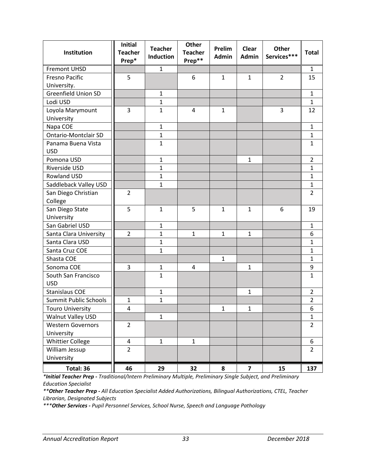| Institution                  | <b>Initial</b><br><b>Teacher</b><br>Prep* | <b>Teacher</b><br>Induction | Other<br><b>Teacher</b><br>Prep** | Prelim<br><b>Admin</b> | <b>Clear</b><br><b>Admin</b> | Other<br>Services*** | <b>Total</b>   |
|------------------------------|-------------------------------------------|-----------------------------|-----------------------------------|------------------------|------------------------------|----------------------|----------------|
| <b>Fremont UHSD</b>          |                                           | $\mathbf{1}$                |                                   |                        |                              |                      | 1              |
| <b>Fresno Pacific</b>        | 5                                         |                             | 6                                 | $\mathbf{1}$           | $\mathbf{1}$                 | $\overline{2}$       | 15             |
| University.                  |                                           |                             |                                   |                        |                              |                      |                |
| <b>Greenfield Union SD</b>   |                                           | $\mathbf{1}$                |                                   |                        |                              |                      | $\mathbf{1}$   |
| Lodi USD                     |                                           | $\mathbf{1}$                |                                   |                        |                              |                      | $\mathbf{1}$   |
| Loyola Marymount             | 3                                         | $\mathbf{1}$                | $\overline{4}$                    | $\mathbf{1}$           |                              | 3                    | 12             |
| University                   |                                           |                             |                                   |                        |                              |                      |                |
| Napa COE                     |                                           | $\mathbf{1}$                |                                   |                        |                              |                      | $\mathbf{1}$   |
| <b>Ontario-Montclair SD</b>  |                                           | $\mathbf{1}$                |                                   |                        |                              |                      | $\mathbf{1}$   |
| Panama Buena Vista           |                                           | $\mathbf 1$                 |                                   |                        |                              |                      | $\mathbf{1}$   |
| <b>USD</b>                   |                                           |                             |                                   |                        |                              |                      |                |
| Pomona USD                   |                                           | $\mathbf{1}$                |                                   |                        | $\mathbf{1}$                 |                      | $\overline{2}$ |
| Riverside USD                |                                           | $\mathbf{1}$                |                                   |                        |                              |                      | $\mathbf{1}$   |
| Rowland USD                  |                                           | $\mathbf{1}$                |                                   |                        |                              |                      | $\mathbf{1}$   |
| Saddleback Valley USD        |                                           | $\mathbf{1}$                |                                   |                        |                              |                      | $\mathbf{1}$   |
| San Diego Christian          | $\overline{2}$                            |                             |                                   |                        |                              |                      | $\overline{2}$ |
| College                      |                                           |                             |                                   |                        |                              |                      |                |
| San Diego State              | 5                                         | $\mathbf{1}$                | 5                                 | $\mathbf{1}$           | $\mathbf{1}$                 | 6                    | 19             |
| University                   |                                           |                             |                                   |                        |                              |                      |                |
| San Gabriel USD              |                                           | $\mathbf{1}$                |                                   |                        |                              |                      | $\mathbf{1}$   |
| Santa Clara University       | $\overline{2}$                            | $\mathbf{1}$                | $\mathbf{1}$                      | $\mathbf{1}$           | $\mathbf{1}$                 |                      | 6              |
| Santa Clara USD              |                                           | 1                           |                                   |                        |                              |                      | $\mathbf{1}$   |
| Santa Cruz COE               |                                           | $\mathbf{1}$                |                                   |                        |                              |                      | $\mathbf{1}$   |
| Shasta COE                   |                                           |                             |                                   | $\mathbf{1}$           |                              |                      | $\mathbf{1}$   |
| Sonoma COE                   | 3                                         | $\mathbf{1}$                | 4                                 |                        | $\mathbf{1}$                 |                      | 9              |
| South San Francisco          |                                           | $\mathbf{1}$                |                                   |                        |                              |                      | $\mathbf{1}$   |
| <b>USD</b>                   |                                           |                             |                                   |                        |                              |                      |                |
| <b>Stanislaus COE</b>        |                                           | $\mathbf{1}$                |                                   |                        | 1                            |                      | $\overline{2}$ |
| <b>Summit Public Schools</b> | $\mathbf 1$                               | 1                           |                                   |                        |                              |                      | $\overline{2}$ |
| <b>Touro University</b>      | 4                                         |                             |                                   | $\mathbf 1$            | $\mathbf 1$                  |                      | 6              |
| Walnut Valley USD            |                                           | $\mathbf{1}$                |                                   |                        |                              |                      | $\mathbf{1}$   |
| <b>Western Governors</b>     | $\overline{2}$                            |                             |                                   |                        |                              |                      | $\overline{2}$ |
| University                   |                                           |                             |                                   |                        |                              |                      |                |
| <b>Whittier College</b>      | 4                                         | $\mathbf{1}$                | $\mathbf{1}$                      |                        |                              |                      | 6              |
| William Jessup               | $\overline{2}$                            |                             |                                   |                        |                              |                      | $\overline{2}$ |
| University                   |                                           |                             |                                   |                        |                              |                      |                |
| Total: 36                    | 46                                        | 29                          | 32                                | 8                      | $\overline{\mathbf{z}}$      | 15                   | 137            |

*\*Initial Teacher Prep - Traditional/Intern Preliminary Multiple, Preliminary Single Subject, and Preliminary Education Specialist*

*\*\*Other Teacher Prep - All Education Specialist Added Authorizations, Bilingual Authorizations, CTEL, Teacher Librarian, Designated Subjects*

*\*\*\*Other Services - Pupil Personnel Services, School Nurse, Speech and Language Pathology*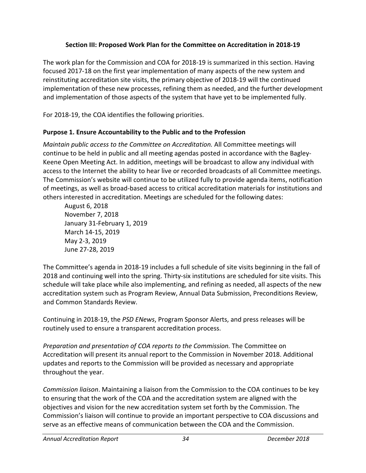# **Section III: Proposed Work Plan for the Committee on Accreditation in 2018-19**

The work plan for the Commission and COA for 2018-19 is summarized in this section. Having focused 2017-18 on the first year implementation of many aspects of the new system and reinstituting accreditation site visits, the primary objective of 2018-19 will the continued implementation of these new processes, refining them as needed, and the further development and implementation of those aspects of the system that have yet to be implemented fully.

For 2018-19, the COA identifies the following priorities.

## **Purpose 1. Ensure Accountability to the Public and to the Profession**

*Maintain public access to the Committee on Accreditation.* All Committee meetings will continue to be held in public and all meeting agendas posted in accordance with the Bagley-Keene Open Meeting Act. In addition, meetings will be broadcast to allow any individual with access to the Internet the ability to hear live or recorded broadcasts of all Committee meetings. The Commission's website will continue to be utilized fully to provide agenda items, notification of meetings, as well as broad-based access to critical accreditation materials for institutions and others interested in accreditation. Meetings are scheduled for the following dates:

August 6, 2018 November 7, 2018 January 31-February 1, 2019 March 14-15, 2019 May 2-3, 2019 June 27-28, 2019

The Committee's agenda in 2018-19 includes a full schedule of site visits beginning in the fall of 2018 and continuing well into the spring. Thirty-six institutions are scheduled for site visits. This schedule will take place while also implementing, and refining as needed, all aspects of the new accreditation system such as Program Review, Annual Data Submission, Preconditions Review, and Common Standards Review.

Continuing in 2018-19, the *PSD ENews*, Program Sponsor Alerts, and press releases will be routinely used to ensure a transparent accreditation process.

*Preparation and presentation of COA reports to the Commission.* The Committee on Accreditation will present its annual report to the Commission in November 2018. Additional updates and reports to the Commission will be provided as necessary and appropriate throughout the year.

*Commission liaison*. Maintaining a liaison from the Commission to the COA continues to be key to ensuring that the work of the COA and the accreditation system are aligned with the objectives and vision for the new accreditation system set forth by the Commission. The Commission's liaison will continue to provide an important perspective to COA discussions and serve as an effective means of communication between the COA and the Commission.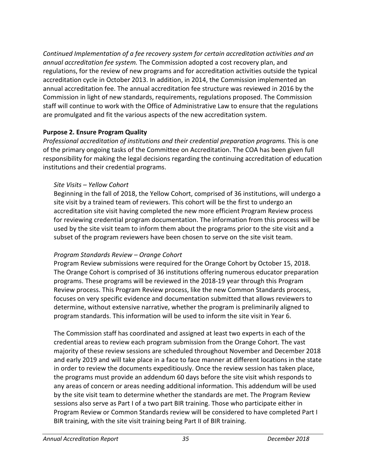*Continued Implementation of a fee recovery system for certain accreditation activities and an annual accreditation fee system.* The Commission adopted a cost recovery plan, and regulations, for the review of new programs and for accreditation activities outside the typical accreditation cycle in October 2013. In addition, in 2014, the Commission implemented an annual accreditation fee. The annual accreditation fee structure was reviewed in 2016 by the Commission in light of new standards, requirements, regulations proposed. The Commission staff will continue to work with the Office of Administrative Law to ensure that the regulations are promulgated and fit the various aspects of the new accreditation system.

## **Purpose 2. Ensure Program Quality**

*Professional accreditation of institutions and their credential preparation programs.* This is one of the primary ongoing tasks of the Committee on Accreditation. The COA has been given full responsibility for making the legal decisions regarding the continuing accreditation of education institutions and their credential programs.

## *Site Visits – Yellow Cohort*

Beginning in the fall of 2018, the Yellow Cohort, comprised of 36 institutions, will undergo a site visit by a trained team of reviewers. This cohort will be the first to undergo an accreditation site visit having completed the new more efficient Program Review process for reviewing credential program documentation. The information from this process will be used by the site visit team to inform them about the programs prior to the site visit and a subset of the program reviewers have been chosen to serve on the site visit team.

# *Program Standards Review – Orange Cohort*

Program Review submissions were required for the Orange Cohort by October 15, 2018. The Orange Cohort is comprised of 36 institutions offering numerous educator preparation programs. These programs will be reviewed in the 2018-19 year through this Program Review process. This Program Review process, like the new Common Standards process, focuses on very specific evidence and documentation submitted that allows reviewers to determine, without extensive narrative, whether the program is preliminarily aligned to program standards. This information will be used to inform the site visit in Year 6.

The Commission staff has coordinated and assigned at least two experts in each of the credential areas to review each program submission from the Orange Cohort. The vast majority of these review sessions are scheduled throughout November and December 2018 and early 2019 and will take place in a face to face manner at different locations in the state in order to review the documents expeditiously. Once the review session has taken place, the programs must provide an addendum 60 days before the site visit whish responds to any areas of concern or areas needing additional information. This addendum will be used by the site visit team to determine whether the standards are met. The Program Review sessions also serve as Part I of a two part BIR training. Those who participate either in Program Review or Common Standards review will be considered to have completed Part I BIR training, with the site visit training being Part II of BIR training.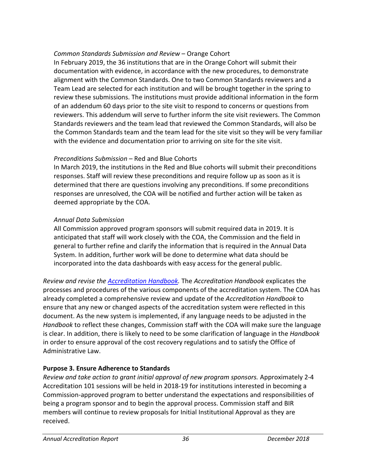## *Common Standards Submission and Review* – Orange Cohort

In February 2019, the 36 institutions that are in the Orange Cohort will submit their documentation with evidence, in accordance with the new procedures, to demonstrate alignment with the Common Standards. One to two Common Standards reviewers and a Team Lead are selected for each institution and will be brought together in the spring to review these submissions. The institutions must provide additional information in the form of an addendum 60 days prior to the site visit to respond to concerns or questions from reviewers. This addendum will serve to further inform the site visit reviewers. The Common Standards reviewers and the team lead that reviewed the Common Standards, will also be the Common Standards team and the team lead for the site visit so they will be very familiar with the evidence and documentation prior to arriving on site for the site visit.

## *Preconditions Submission* – Red and Blue Cohorts

In March 2019, the institutions in the Red and Blue cohorts will submit their preconditions responses. Staff will review these preconditions and require follow up as soon as it is determined that there are questions involving any preconditions. If some preconditions responses are unresolved, the COA will be notified and further action will be taken as deemed appropriate by the COA.

# *Annual Data Submission*

All Commission approved program sponsors will submit required data in 2019. It is anticipated that staff will work closely with the COA, the Commission and the field in general to further refine and clarify the information that is required in the Annual Data System. In addition, further work will be done to determine what data should be incorporated into the data dashboards with easy access for the general public.

*Review and revise the [Accreditation Handbook.](https://www.ctc.ca.gov/educator-prep/accred-handbook)* The *Accreditation Handbook* explicates the processes and procedures of the various components of the accreditation system. The COA has already completed a comprehensive review and update of the *Accreditation Handbook* to ensure that any new or changed aspects of the accreditation system were reflected in this document. As the new system is implemented, if any language needs to be adjusted in the *Handbook* to reflect these changes, Commission staff with the COA will make sure the language is clear. In addition, there is likely to need to be some clarification of language in the *Handbook*  in order to ensure approval of the cost recovery regulations and to satisfy the Office of Administrative Law.

# **Purpose 3. Ensure Adherence to Standards**

*Review and take action to grant initial approval of new program sponsors.* Approximately 2-4 Accreditation 101 sessions will be held in 2018-19 for institutions interested in becoming a Commission-approved program to better understand the expectations and responsibilities of being a program sponsor and to begin the approval process. Commission staff and BIR members will continue to review proposals for Initial Institutional Approval as they are received.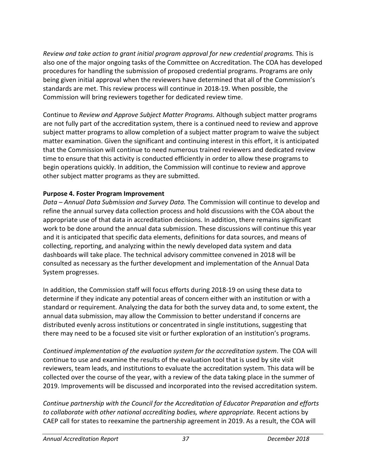*Review and take action to grant initial program approval for new credential programs.* This is also one of the major ongoing tasks of the Committee on Accreditation. The COA has developed procedures for handling the submission of proposed credential programs. Programs are only being given initial approval when the reviewers have determined that all of the Commission's standards are met. This review process will continue in 2018-19. When possible, the Commission will bring reviewers together for dedicated review time.

Continue to *Review and Approve Subject Matter Programs.* Although subject matter programs are not fully part of the accreditation system, there is a continued need to review and approve subject matter programs to allow completion of a subject matter program to waive the subject matter examination. Given the significant and continuing interest in this effort, it is anticipated that the Commission will continue to need numerous trained reviewers and dedicated review time to ensure that this activity is conducted efficiently in order to allow these programs to begin operations quickly. In addition, the Commission will continue to review and approve other subject matter programs as they are submitted.

## **Purpose 4. Foster Program Improvement**

*Data – Annual Data Submission and Survey Data.* The Commission will continue to develop and refine the annual survey data collection process and hold discussions with the COA about the appropriate use of that data in accreditation decisions. In addition, there remains significant work to be done around the annual data submission. These discussions will continue this year and it is anticipated that specific data elements, definitions for data sources, and means of collecting, reporting, and analyzing within the newly developed data system and data dashboards will take place. The technical advisory committee convened in 2018 will be consulted as necessary as the further development and implementation of the Annual Data System progresses.

In addition, the Commission staff will focus efforts during 2018-19 on using these data to determine if they indicate any potential areas of concern either with an institution or with a standard or requirement. Analyzing the data for both the survey data and, to some extent, the annual data submission, may allow the Commission to better understand if concerns are distributed evenly across institutions or concentrated in single institutions, suggesting that there may need to be a focused site visit or further exploration of an institution's programs.

*Continued implementation of the evaluation system for the accreditation system*. The COA will continue to use and examine the results of the evaluation tool that is used by site visit reviewers, team leads, and institutions to evaluate the accreditation system. This data will be collected over the course of the year, with a review of the data taking place in the summer of 2019. Improvements will be discussed and incorporated into the revised accreditation system.

*Continue partnership with the Council for the Accreditation of Educator Preparation and efforts to collaborate with other national accrediting bodies, where appropriate.* Recent actions by CAEP call for states to reexamine the partnership agreement in 2019. As a result, the COA will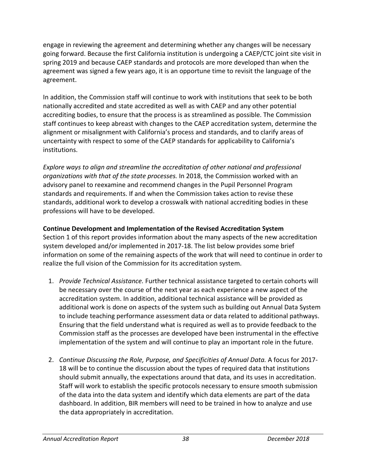engage in reviewing the agreement and determining whether any changes will be necessary going forward. Because the first California institution is undergoing a CAEP/CTC joint site visit in spring 2019 and because CAEP standards and protocols are more developed than when the agreement was signed a few years ago, it is an opportune time to revisit the language of the agreement.

In addition, the Commission staff will continue to work with institutions that seek to be both nationally accredited and state accredited as well as with CAEP and any other potential accrediting bodies, to ensure that the process is as streamlined as possible. The Commission staff continues to keep abreast with changes to the CAEP accreditation system, determine the alignment or misalignment with California's process and standards, and to clarify areas of uncertainty with respect to some of the CAEP standards for applicability to California's institutions.

*Explore ways to align and streamline the accreditation of other national and professional organizations with that of the state processes.* In 2018, the Commission worked with an advisory panel to reexamine and recommend changes in the Pupil Personnel Program standards and requirements. If and when the Commission takes action to revise these standards, additional work to develop a crosswalk with national accrediting bodies in these professions will have to be developed.

## **Continue Development and Implementation of the Revised Accreditation System**

Section 1 of this report provides information about the many aspects of the new accreditation system developed and/or implemented in 2017-18. The list below provides some brief information on some of the remaining aspects of the work that will need to continue in order to realize the full vision of the Commission for its accreditation system.

- 1. *Provide Technical Assistance.* Further technical assistance targeted to certain cohorts will be necessary over the course of the next year as each experience a new aspect of the accreditation system. In addition, additional technical assistance will be provided as additional work is done on aspects of the system such as building out Annual Data System to include teaching performance assessment data or data related to additional pathways. Ensuring that the field understand what is required as well as to provide feedback to the Commission staff as the processes are developed have been instrumental in the effective implementation of the system and will continue to play an important role in the future.
- 2. *Continue Discussing the Role, Purpose, and Specificities of Annual Data.* A focus for 2017- 18 will be to continue the discussion about the types of required data that institutions should submit annually, the expectations around that data, and its uses in accreditation. Staff will work to establish the specific protocols necessary to ensure smooth submission of the data into the data system and identify which data elements are part of the data dashboard. In addition, BIR members will need to be trained in how to analyze and use the data appropriately in accreditation.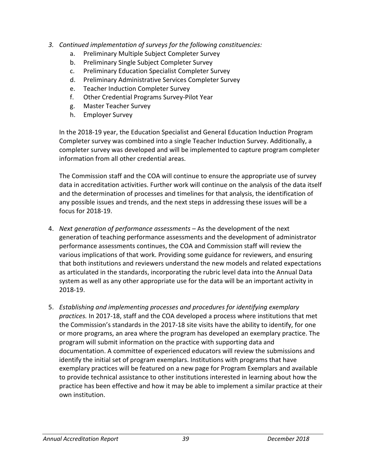- *3. Continued implementation of surveys for the following constituencies:*
	- a. Preliminary Multiple Subject Completer Survey
	- b. Preliminary Single Subject Completer Survey
	- c. Preliminary Education Specialist Completer Survey
	- d. Preliminary Administrative Services Completer Survey
	- e. Teacher Induction Completer Survey
	- f. Other Credential Programs Survey-Pilot Year
	- g. Master Teacher Survey
	- h. Employer Survey

In the 2018-19 year, the Education Specialist and General Education Induction Program Completer survey was combined into a single Teacher Induction Survey. Additionally, a completer survey was developed and will be implemented to capture program completer information from all other credential areas.

The Commission staff and the COA will continue to ensure the appropriate use of survey data in accreditation activities. Further work will continue on the analysis of the data itself and the determination of processes and timelines for that analysis, the identification of any possible issues and trends, and the next steps in addressing these issues will be a focus for 2018-19.

- 4. *Next generation of performance assessments –* As the development of the next generation of teaching performance assessments and the development of administrator performance assessments continues, the COA and Commission staff will review the various implications of that work. Providing some guidance for reviewers, and ensuring that both institutions and reviewers understand the new models and related expectations as articulated in the standards, incorporating the rubric level data into the Annual Data system as well as any other appropriate use for the data will be an important activity in 2018-19.
- 5. *Establishing and implementing processes and procedures for identifying exemplary practices.* In 2017-18, staff and the COA developed a process where institutions that met the Commission's standards in the 2017-18 site visits have the ability to identify, for one or more programs, an area where the program has developed an exemplary practice. The program will submit information on the practice with supporting data and documentation. A committee of experienced educators will review the submissions and identify the initial set of program exemplars. Institutions with programs that have exemplary practices will be featured on a new page for Program Exemplars and available to provide technical assistance to other institutions interested in learning about how the practice has been effective and how it may be able to implement a similar practice at their own institution.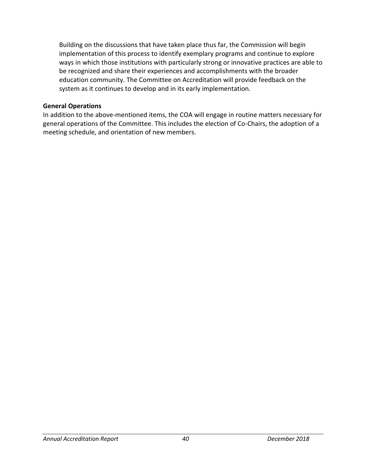Building on the discussions that have taken place thus far, the Commission will begin implementation of this process to identify exemplary programs and continue to explore ways in which those institutions with particularly strong or innovative practices are able to be recognized and share their experiences and accomplishments with the broader education community. The Committee on Accreditation will provide feedback on the system as it continues to develop and in its early implementation.

#### **General Operations**

In addition to the above-mentioned items, the COA will engage in routine matters necessary for general operations of the Committee. This includes the election of Co-Chairs, the adoption of a meeting schedule, and orientation of new members.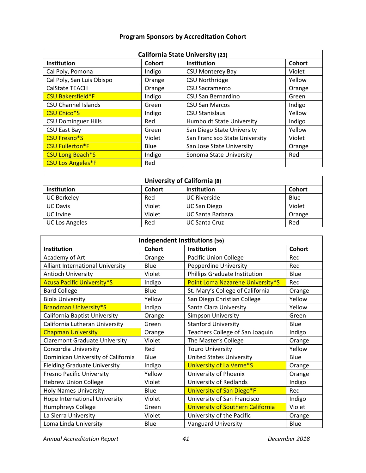## **Program Sponsors by Accreditation Cohort**

| <b>California State University (23)</b> |        |                                  |               |  |
|-----------------------------------------|--------|----------------------------------|---------------|--|
| Institution                             | Cohort | Institution                      | <b>Cohort</b> |  |
| Cal Poly, Pomona                        | Indigo | <b>CSU Monterey Bay</b>          | Violet        |  |
| Cal Poly, San Luis Obispo               | Orange | <b>CSU Northridge</b>            | Yellow        |  |
| <b>CalState TEACH</b>                   | Orange | <b>CSU Sacramento</b>            | Orange        |  |
| <b>CSU Bakersfield*F</b>                | Indigo | CSU San Bernardino               | Green         |  |
| <b>CSU Channel Islands</b>              | Green  | <b>CSU San Marcos</b>            | Indigo        |  |
| <b>CSU Chico*S</b>                      | Indigo | <b>CSU Stanislaus</b>            | Yellow        |  |
| <b>CSU Dominguez Hills</b>              | Red    | <b>Humboldt State University</b> | Indigo        |  |
| <b>CSU East Bay</b>                     | Green  | San Diego State University       | Yellow        |  |
| <b>CSU Fresno*S</b>                     | Violet | San Francisco State University   | Violet        |  |
| <b>CSU Fullerton*F</b>                  | Blue   | San Jose State University        | Orange        |  |
| <b>CSU Long Beach*S</b>                 | Indigo | Sonoma State University          | Red           |  |
| <b>CSU Los Angeles*F</b>                | Red    |                                  |               |  |

| University of California (8) |        |                         |               |  |
|------------------------------|--------|-------------------------|---------------|--|
| <b>Institution</b>           | Cohort | <b>Institution</b>      | <b>Cohort</b> |  |
| <b>UC Berkeley</b>           | Red    | <b>UC Riverside</b>     | Blue          |  |
| <b>UC Davis</b>              | Violet | <b>UC San Diego</b>     | Violet        |  |
| UC Irvine                    | Violet | <b>UC Santa Barbara</b> | Orange        |  |
| <b>UC Los Angeles</b>        | Red    | <b>UC Santa Cruz</b>    | Red           |  |

| Independent Institutions (56)        |               |                                          |        |  |
|--------------------------------------|---------------|------------------------------------------|--------|--|
| Institution                          | <b>Cohort</b> | <b>Institution</b>                       | Cohort |  |
| Academy of Art                       | Orange        | <b>Pacific Union College</b>             | Red    |  |
| Alliant International University     | Blue          | <b>Pepperdine University</b>             | Red    |  |
| <b>Antioch University</b>            | Violet        | Phillips Graduate Institution            | Blue   |  |
| <b>Azusa Pacific University*S</b>    | Indigo        | Point Loma Nazarene University*S         | Red    |  |
| <b>Bard College</b>                  | Blue          | St. Mary's College of California         | Orange |  |
| <b>Biola University</b>              | Yellow        | San Diego Christian College              | Yellow |  |
| <b>Brandman University*S</b>         | Indigo        | Santa Clara University                   | Yellow |  |
| California Baptist University        | Orange        | Simpson University                       | Green  |  |
| California Lutheran University       | Green         | <b>Stanford University</b>               | Blue   |  |
| <b>Chapman University</b>            | Orange        | Teachers College of San Joaquin          | Indigo |  |
| <b>Claremont Graduate University</b> | Violet        | The Master's College                     | Orange |  |
| Concordia University                 | Red           | <b>Touro University</b>                  | Yellow |  |
| Dominican University of California   | Blue          | <b>United States University</b>          | Blue   |  |
| <b>Fielding Graduate University</b>  | Indigo        | University of La Verne*S                 | Orange |  |
| <b>Fresno Pacific University</b>     | Yellow        | University of Phoenix                    | Orange |  |
| <b>Hebrew Union College</b>          | Violet        | University of Redlands                   | Indigo |  |
| <b>Holy Names University</b>         | Blue          | University of San Diego*F                | Red    |  |
| Hope International University        | Violet        | University of San Francisco              | Indigo |  |
| Humphreys College                    | Green         | <b>University of Southern California</b> | Violet |  |
| La Sierra University                 | Violet        | University of the Pacific                | Orange |  |
| Loma Linda University                | Blue          | <b>Vanguard University</b>               | Blue   |  |

*Annual Accreditation Report 41 December 2018*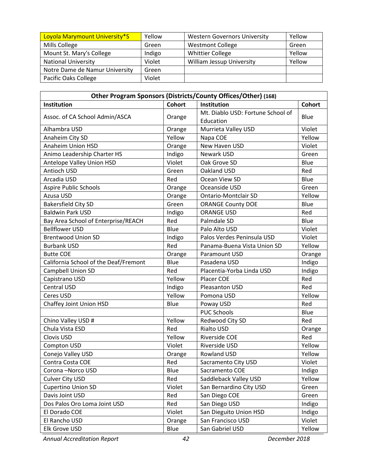| Loyola Marymount University*S  | Yellow | <b>Western Governors University</b> | Yellow |
|--------------------------------|--------|-------------------------------------|--------|
| Mills College                  | Green  | <b>Westmont College</b>             | Green  |
| Mount St. Mary's College       | Indigo | <b>Whittier College</b>             | Yellow |
| <b>National University</b>     | Violet | <b>William Jessup University</b>    | Yellow |
| Notre Dame de Namur University | Green  |                                     |        |
| Pacific Oaks College           | Violet |                                     |        |

| Other Program Sponsors (Districts/County Offices/Other) (168) |               |                                   |        |  |
|---------------------------------------------------------------|---------------|-----------------------------------|--------|--|
| Institution                                                   | <b>Cohort</b> | Institution                       | Cohort |  |
| Assoc. of CA School Admin/ASCA                                | Orange        | Mt. Diablo USD: Fortune School of | Blue   |  |
|                                                               |               | Education                         |        |  |
| Alhambra USD                                                  | Orange        | Murrieta Valley USD               | Violet |  |
| Anaheim City SD                                               | Yellow        | Napa COE                          | Yellow |  |
| Anaheim Union HSD                                             | Orange        | New Haven USD                     | Violet |  |
| Animo Leadership Charter HS                                   | Indigo        | Newark USD                        | Green  |  |
| Antelope Valley Union HSD                                     | Violet        | Oak Grove SD                      | Blue   |  |
| Antioch USD                                                   | Green         | Oakland USD                       | Red    |  |
| Arcadia USD                                                   | Red           | Ocean View SD                     | Blue   |  |
| <b>Aspire Public Schools</b>                                  | Orange        | Oceanside USD                     | Green  |  |
| Azusa USD                                                     | Orange        | <b>Ontario-Montclair SD</b>       | Yellow |  |
| <b>Bakersfield City SD</b>                                    | Green         | <b>ORANGE County DOE</b>          | Blue   |  |
| <b>Baldwin Park USD</b>                                       | Indigo        | <b>ORANGE USD</b>                 | Red    |  |
| Bay Area School of Enterprise/REACH                           | Red           | Palmdale SD                       | Blue   |  |
| <b>Bellflower USD</b>                                         | Blue          | Palo Alto USD                     | Violet |  |
| <b>Brentwood Union SD</b>                                     | Indigo        | Palos Verdes Peninsula USD        | Violet |  |
| <b>Burbank USD</b>                                            | Red           | Panama-Buena Vista Union SD       | Yellow |  |
| <b>Butte COE</b>                                              | Orange        | <b>Paramount USD</b>              | Orange |  |
| California School of the Deaf/Fremont                         | Blue          | Pasadena USD                      | Indigo |  |
| Campbell Union SD                                             | Red           | Placentia-Yorba Linda USD         | Indigo |  |
| Capistrano USD                                                | Yellow        | Placer COE                        | Red    |  |
| <b>Central USD</b>                                            | Indigo        | Pleasanton USD                    | Red    |  |
| Ceres USD                                                     | Yellow        | Pomona USD                        | Yellow |  |
| Chaffey Joint Union HSD                                       | Blue          | Poway USD                         | Red    |  |
|                                                               |               | <b>PUC Schools</b>                | Blue   |  |
| Chino Valley USD #                                            | Yellow        | Redwood City SD                   | Red    |  |
| Chula Vista ESD                                               | Red           | Rialto USD                        | Orange |  |
| Clovis USD                                                    | Yellow        | <b>Riverside COE</b>              | Red    |  |
| Compton USD                                                   | Violet        | Riverside USD                     | Yellow |  |
| Conejo Valley USD                                             | Orange        | Rowland USD                       | Yellow |  |
| Contra Costa COE                                              | Red           | Sacramento City USD               | Violet |  |
| Corona-Norco USD                                              | Blue          | Sacramento COE                    | Indigo |  |
| <b>Culver City USD</b>                                        | Red           | Saddleback Valley USD             | Yellow |  |
| <b>Cupertino Union SD</b>                                     | Violet        | San Bernardino City USD           | Green  |  |
| Davis Joint USD                                               | Red           | San Diego COE                     | Green  |  |
| Dos Palos Oro Loma Joint USD                                  | Red           | San Diego USD                     | Indigo |  |
| El Dorado COE                                                 | Violet        | San Dieguito Union HSD            | Indigo |  |
| El Rancho USD                                                 | Orange        | San Francisco USD                 | Violet |  |
| Elk Grove USD                                                 | Blue          | San Gabriel USD                   | Yellow |  |

*Annual Accreditation Report 42 December 2018*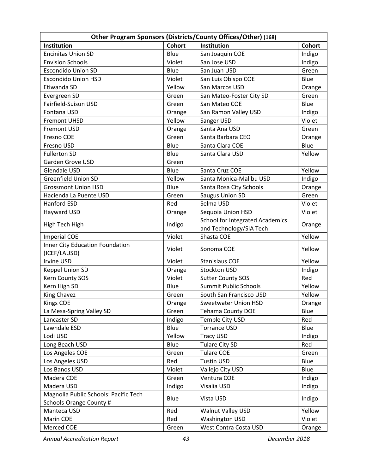| Other Program Sponsors (Districts/County Offices/Other) (168) |               |                                                            |        |  |
|---------------------------------------------------------------|---------------|------------------------------------------------------------|--------|--|
| <b>Institution</b>                                            | <b>Cohort</b> | Institution                                                | Cohort |  |
| <b>Encinitas Union SD</b>                                     | Blue          | San Joaquin COE                                            | Indigo |  |
| <b>Envision Schools</b>                                       | Violet        | San Jose USD                                               | Indigo |  |
| <b>Escondido Union SD</b>                                     | Blue          | San Juan USD                                               | Green  |  |
| <b>Escondido Union HSD</b>                                    | Violet        | San Luis Obispo COE                                        | Blue   |  |
| Etiwanda SD                                                   | Yellow        | San Marcos USD                                             | Orange |  |
| Evergreen SD                                                  | Green         | San Mateo-Foster City SD                                   | Green  |  |
| Fairfield-Suisun USD                                          | Green         | San Mateo COE                                              | Blue   |  |
| Fontana USD                                                   | Orange        | San Ramon Valley USD                                       | Indigo |  |
| <b>Fremont UHSD</b>                                           | Yellow        | Sanger USD                                                 | Violet |  |
| <b>Fremont USD</b>                                            | Orange        | Santa Ana USD                                              | Green  |  |
| Fresno COE                                                    | Green         | Santa Barbara CEO                                          | Orange |  |
| Fresno USD                                                    | Blue          | Santa Clara COE                                            | Blue   |  |
| <b>Fullerton SD</b>                                           | Blue          | Santa Clara USD                                            | Yellow |  |
| Garden Grove USD                                              | Green         |                                                            |        |  |
| <b>Glendale USD</b>                                           | Blue          | Santa Cruz COE                                             | Yellow |  |
| <b>Greenfield Union SD</b>                                    | Yellow        | Santa Monica-Malibu USD                                    | Indigo |  |
| <b>Grossmont Union HSD</b>                                    | Blue          | Santa Rosa City Schools                                    | Orange |  |
| Hacienda La Puente USD                                        | Green         | <b>Saugus Union SD</b>                                     | Green  |  |
| <b>Hanford ESD</b>                                            | Red           | Selma USD                                                  | Violet |  |
| Hayward USD                                                   | Orange        | Sequoia Union HSD                                          | Violet |  |
| High Tech High                                                | Indigo        | School for Integrated Academics<br>and Technology/SIA Tech | Orange |  |
| <b>Imperial COE</b>                                           | Violet        | Shasta COE                                                 | Yellow |  |
| <b>Inner City Education Foundation</b>                        |               |                                                            |        |  |
| (ICEF/LAUSD)                                                  | Violet        | Sonoma COE                                                 | Yellow |  |
| <b>Irvine USD</b>                                             | Violet        | <b>Stanislaus COE</b>                                      | Yellow |  |
| Keppel Union SD                                               | Orange        | Stockton USD                                               | Indigo |  |
| Kern County SOS                                               | Violet        | <b>Sutter County SOS</b>                                   | Red    |  |
| Kern High SD                                                  | Blue          | Summit Public Schools                                      | Yellow |  |
| <b>King Chavez</b>                                            | Green         | South San Francisco USD                                    | Yellow |  |
| <b>Kings COE</b>                                              | Orange        | <b>Sweetwater Union HSD</b>                                | Orange |  |
| La Mesa-Spring Valley SD                                      | Green         | <b>Tehama County DOE</b>                                   | Blue   |  |
| Lancaster SD                                                  | Indigo        | Temple City USD                                            | Red    |  |
| Lawndale ESD                                                  | Blue          | <b>Torrance USD</b>                                        | Blue   |  |
| Lodi USD                                                      | Yellow        | <b>Tracy USD</b>                                           | Indigo |  |
| Long Beach USD                                                | Blue          | Tulare City SD                                             | Red    |  |
| Los Angeles COE                                               | Green         | <b>Tulare COE</b>                                          | Green  |  |
| Los Angeles USD                                               | Red           | <b>Tustin USD</b>                                          | Blue   |  |
| Los Banos USD                                                 | Violet        | Vallejo City USD                                           | Blue   |  |
| Madera COE                                                    | Green         | Ventura COE                                                | Indigo |  |
| Madera USD                                                    | Indigo        | Visalia USD                                                | Indigo |  |
| Magnolia Public Schools: Pacific Tech                         |               |                                                            |        |  |
| Schools-Orange County #                                       | Blue          | Vista USD                                                  | Indigo |  |
| Manteca USD                                                   | Red           | Walnut Valley USD                                          | Yellow |  |
| Marin COE                                                     | Red           | <b>Washington USD</b>                                      | Violet |  |
| Merced COE                                                    | Green         | West Contra Costa USD                                      | Orange |  |

*Annual Accreditation Report 43 December 2018*